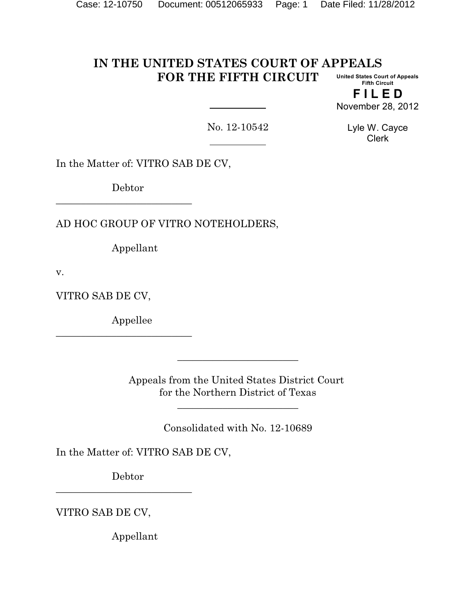#### **IN THE UNITED STATES COURT OF APPEALS FOR THE FIFTH CIRCUIT United States Court of Appeals Fifth Circuit**

**F I L E D** November 28, 2012

No. 12-10542

Lyle W. Cayce Clerk

In the Matter of: VITRO SAB DE CV,

Debtor

\_\_\_\_\_\_\_\_\_\_\_\_\_\_\_\_\_\_\_\_\_\_\_\_\_\_\_

AD HOC GROUP OF VITRO NOTEHOLDERS,

Appellant

v.

VITRO SAB DE CV,

Appellee

\_\_\_\_\_\_\_\_\_\_\_\_\_\_\_\_\_\_\_\_\_\_\_\_\_\_\_

Appeals from the United States District Court for the Northern District of Texas

\_\_\_\_\_\_\_\_\_\_\_\_\_\_\_\_\_\_\_\_\_\_\_\_

\_\_\_\_\_\_\_\_\_\_\_\_\_\_\_\_\_\_\_\_\_\_\_\_

Consolidated with No. 12-10689

In the Matter of: VITRO SAB DE CV,

Debtor

\_\_\_\_\_\_\_\_\_\_\_\_\_\_\_\_\_\_\_\_\_\_\_\_\_\_\_

VITRO SAB DE CV,

Appellant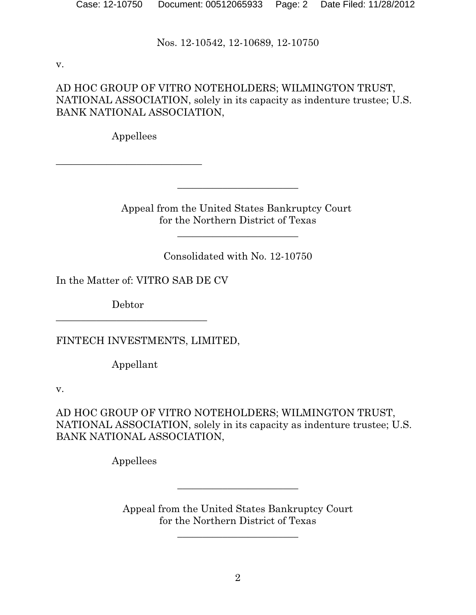v.

AD HOC GROUP OF VITRO NOTEHOLDERS; WILMINGTON TRUST, NATIONAL ASSOCIATION, solely in its capacity as indenture trustee; U.S. BANK NATIONAL ASSOCIATION,

Appellees

 $\frac{1}{2}$  , the contribution of the contribution of the contribution of the contribution of the contribution of the contribution of the contribution of the contribution of the contribution of the contribution of the contr

Appeal from the United States Bankruptcy Court for the Northern District of Texas

\_\_\_\_\_\_\_\_\_\_\_\_\_\_\_\_\_\_\_\_\_\_\_\_

\_\_\_\_\_\_\_\_\_\_\_\_\_\_\_\_\_\_\_\_\_\_\_\_

Consolidated with No. 12-10750

In the Matter of: VITRO SAB DE CV

Debtor  $\frac{1}{2}$ 

FINTECH INVESTMENTS, LIMITED,

Appellant

v.

AD HOC GROUP OF VITRO NOTEHOLDERS; WILMINGTON TRUST, NATIONAL ASSOCIATION, solely in its capacity as indenture trustee; U.S. BANK NATIONAL ASSOCIATION,

Appellees

Appeal from the United States Bankruptcy Court for the Northern District of Texas

\_\_\_\_\_\_\_\_\_\_\_\_\_\_\_\_\_\_\_\_\_\_\_\_

\_\_\_\_\_\_\_\_\_\_\_\_\_\_\_\_\_\_\_\_\_\_\_\_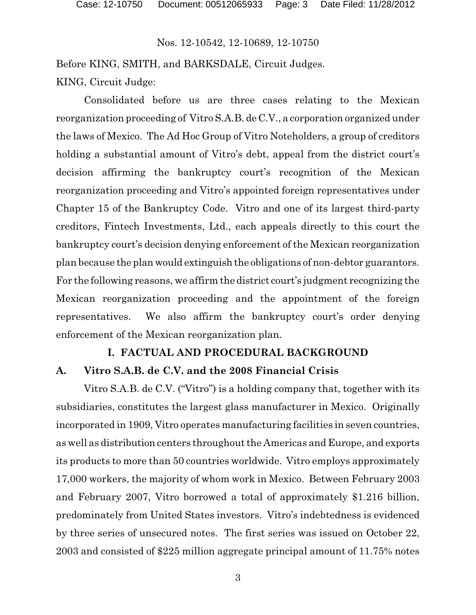Before KING, SMITH, and BARKSDALE, Circuit Judges.

KING, Circuit Judge:

Consolidated before us are three cases relating to the Mexican reorganization proceeding of Vitro S.A.B. de C.V., a corporation organized under the laws of Mexico. The Ad Hoc Group of Vitro Noteholders, a group of creditors holding a substantial amount of Vitro's debt, appeal from the district court's decision affirming the bankruptcy court's recognition of the Mexican reorganization proceeding and Vitro's appointed foreign representatives under Chapter 15 of the Bankruptcy Code. Vitro and one of its largest third-party creditors, Fintech Investments, Ltd., each appeals directly to this court the bankruptcy court's decision denying enforcement of the Mexican reorganization plan because the plan would extinguish the obligations of non-debtor guarantors. For the following reasons, we affirm the district court's judgment recognizing the Mexican reorganization proceeding and the appointment of the foreign representatives. We also affirm the bankruptcy court's order denying enforcement of the Mexican reorganization plan.

## **I. FACTUAL AND PROCEDURAL BACKGROUND**

## **A. Vitro S.A.B. de C.V. and the 2008 Financial Crisis**

Vitro S.A.B. de C.V. ("Vitro") is a holding company that, together with its subsidiaries, constitutes the largest glass manufacturer in Mexico. Originally incorporated in 1909, Vitro operates manufacturing facilities in seven countries, as well as distribution centers throughout the Americas and Europe, and exports its products to more than 50 countries worldwide. Vitro employs approximately 17,000 workers, the majority of whom work in Mexico. Between February 2003 and February 2007, Vitro borrowed a total of approximately \$1.216 billion, predominately from United States investors. Vitro's indebtedness is evidenced by three series of unsecured notes. The first series was issued on October 22, 2003 and consisted of \$225 million aggregate principal amount of 11.75% notes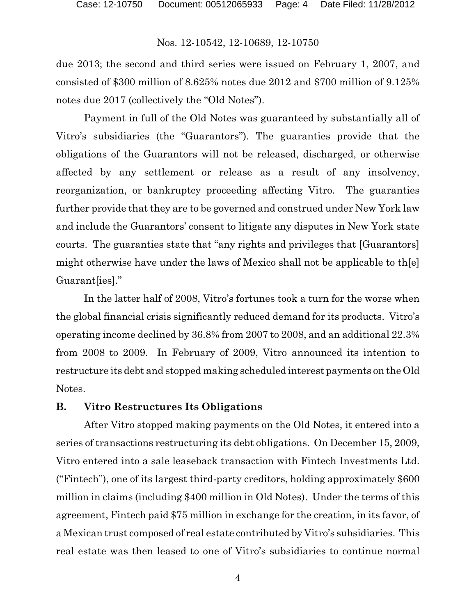due 2013; the second and third series were issued on February 1, 2007, and consisted of \$300 million of 8.625% notes due 2012 and \$700 million of 9.125% notes due 2017 (collectively the "Old Notes").

Payment in full of the Old Notes was guaranteed by substantially all of Vitro's subsidiaries (the "Guarantors"). The guaranties provide that the obligations of the Guarantors will not be released, discharged, or otherwise affected by any settlement or release as a result of any insolvency, reorganization, or bankruptcy proceeding affecting Vitro. The guaranties further provide that they are to be governed and construed under New York law and include the Guarantors' consent to litigate any disputes in New York state courts. The guaranties state that "any rights and privileges that [Guarantors] might otherwise have under the laws of Mexico shall not be applicable to th[e] Guarant[ies]."

In the latter half of 2008, Vitro's fortunes took a turn for the worse when the global financial crisis significantly reduced demand for its products. Vitro's operating income declined by 36.8% from 2007 to 2008, and an additional 22.3% from 2008 to 2009. In February of 2009, Vitro announced its intention to restructure its debt and stopped making scheduled interest payments on the Old Notes.

### **B. Vitro Restructures Its Obligations**

After Vitro stopped making payments on the Old Notes, it entered into a series of transactions restructuring its debt obligations. On December 15, 2009, Vitro entered into a sale leaseback transaction with Fintech Investments Ltd. ("Fintech"), one of its largest third-party creditors, holding approximately \$600 million in claims (including \$400 million in Old Notes). Under the terms of this agreement, Fintech paid \$75 million in exchange for the creation, in its favor, of a Mexican trust composed of real estate contributed by Vitro's subsidiaries. This real estate was then leased to one of Vitro's subsidiaries to continue normal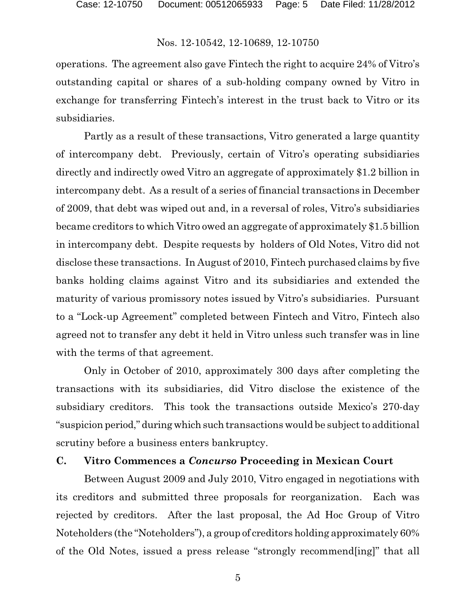operations. The agreement also gave Fintech the right to acquire 24% of Vitro's outstanding capital or shares of a sub-holding company owned by Vitro in exchange for transferring Fintech's interest in the trust back to Vitro or its subsidiaries.

Partly as a result of these transactions, Vitro generated a large quantity of intercompany debt. Previously, certain of Vitro's operating subsidiaries directly and indirectly owed Vitro an aggregate of approximately \$1.2 billion in intercompany debt. As a result of a series of financial transactions in December of 2009, that debt was wiped out and, in a reversal of roles, Vitro's subsidiaries became creditors to which Vitro owed an aggregate of approximately \$1.5 billion in intercompany debt. Despite requests by holders of Old Notes, Vitro did not disclose these transactions. In August of 2010, Fintech purchased claims by five banks holding claims against Vitro and its subsidiaries and extended the maturity of various promissory notes issued by Vitro's subsidiaries. Pursuant to a "Lock-up Agreement" completed between Fintech and Vitro, Fintech also agreed not to transfer any debt it held in Vitro unless such transfer was in line with the terms of that agreement.

Only in October of 2010, approximately 300 days after completing the transactions with its subsidiaries, did Vitro disclose the existence of the subsidiary creditors. This took the transactions outside Mexico's 270-day "suspicion period," during which such transactions would be subject to additional scrutiny before a business enters bankruptcy.

## **C. Vitro Commences a** *Concurso* **Proceeding in Mexican Court**

Between August 2009 and July 2010, Vitro engaged in negotiations with its creditors and submitted three proposals for reorganization. Each was rejected by creditors. After the last proposal, the Ad Hoc Group of Vitro Noteholders (the "Noteholders"), a group of creditors holding approximately 60% of the Old Notes, issued a press release "strongly recommend[ing]" that all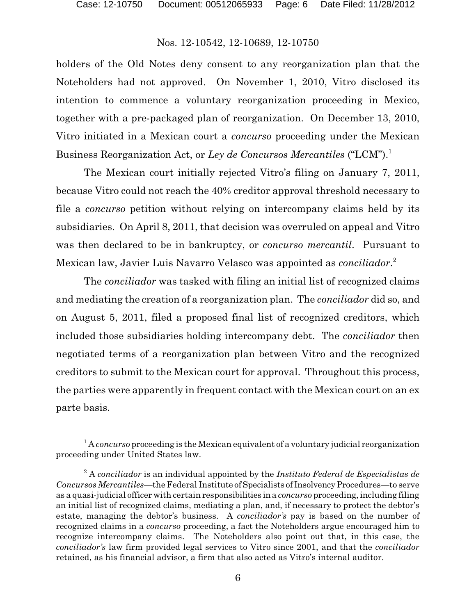holders of the Old Notes deny consent to any reorganization plan that the Noteholders had not approved. On November 1, 2010, Vitro disclosed its intention to commence a voluntary reorganization proceeding in Mexico, together with a pre-packaged plan of reorganization. On December 13, 2010, Vitro initiated in a Mexican court a *concurso* proceeding under the Mexican Business Reorganization Act, or *Ley de Concursos Mercantiles* ("LCM").<sup>1</sup>

The Mexican court initially rejected Vitro's filing on January 7, 2011, because Vitro could not reach the 40% creditor approval threshold necessary to file a *concurso* petition without relying on intercompany claims held by its subsidiaries. On April 8, 2011, that decision was overruled on appeal and Vitro was then declared to be in bankruptcy, or *concurso mercantil*. Pursuant to Mexican law, Javier Luis Navarro Velasco was appointed as *conciliador*. 2

The *conciliador* was tasked with filing an initial list of recognized claims and mediating the creation of a reorganization plan. The *conciliador* did so, and on August 5, 2011, filed a proposed final list of recognized creditors, which included those subsidiaries holding intercompany debt. The *conciliador* then negotiated terms of a reorganization plan between Vitro and the recognized creditors to submit to the Mexican court for approval. Throughout this process, the parties were apparently in frequent contact with the Mexican court on an ex parte basis.

<sup>&</sup>lt;sup>1</sup> A *concurso* proceeding is the Mexican equivalent of a voluntary judicial reorganization proceeding under United States law.

A *conciliador* is an individual appointed by the *Instituto Federal de Especialistas de* <sup>2</sup> *Concursos Mercantiles*—the Federal Institute of Specialists of Insolvency Procedures—to serve as a quasi-judicial officer with certain responsibilities ina *concurso* proceeding, including filing an initial list of recognized claims, mediating a plan, and, if necessary to protect the debtor's estate, managing the debtor's business. A *conciliador's* pay is based on the number of recognized claims in a *concurso* proceeding, a fact the Noteholders argue encouraged him to recognize intercompany claims. The Noteholders also point out that, in this case, the *conciliador's* law firm provided legal services to Vitro since 2001, and that the *conciliador* retained, as his financial advisor, a firm that also acted as Vitro's internal auditor.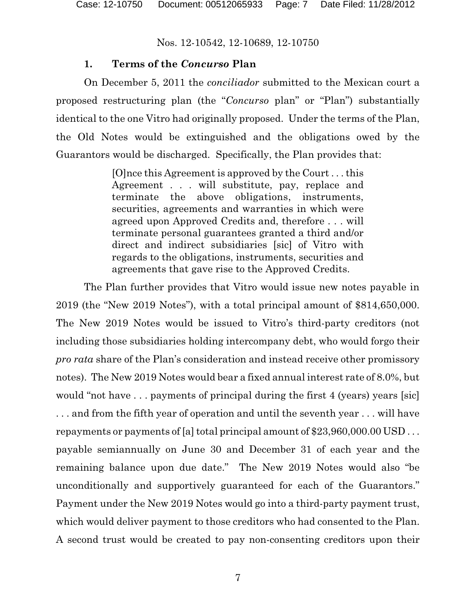## **1. Terms of the** *Concurso* **Plan**

On December 5, 2011 the *conciliador* submitted to the Mexican court a proposed restructuring plan (the "*Concurso* plan" or "Plan") substantially identical to the one Vitro had originally proposed. Under the terms of the Plan, the Old Notes would be extinguished and the obligations owed by the Guarantors would be discharged. Specifically, the Plan provides that:

> [O]nce this Agreement is approved by the Court . . . this Agreement . . . will substitute, pay, replace and terminate the above obligations, instruments, securities, agreements and warranties in which were agreed upon Approved Credits and, therefore . . . will terminate personal guarantees granted a third and/or direct and indirect subsidiaries [sic] of Vitro with regards to the obligations, instruments, securities and agreements that gave rise to the Approved Credits.

The Plan further provides that Vitro would issue new notes payable in 2019 (the "New 2019 Notes"), with a total principal amount of \$814,650,000. The New 2019 Notes would be issued to Vitro's third-party creditors (not including those subsidiaries holding intercompany debt, who would forgo their *pro rata* share of the Plan's consideration and instead receive other promissory notes). The New 2019 Notes would bear a fixed annual interest rate of 8.0%, but would "not have . . . payments of principal during the first 4 (years) years [sic] . . . and from the fifth year of operation and until the seventh year . . . will have repayments or payments of [a] total principal amount of \$23,960,000.00 USD . . . payable semiannually on June 30 and December 31 of each year and the remaining balance upon due date." The New 2019 Notes would also "be unconditionally and supportively guaranteed for each of the Guarantors." Payment under the New 2019 Notes would go into a third-party payment trust, which would deliver payment to those creditors who had consented to the Plan. A second trust would be created to pay non-consenting creditors upon their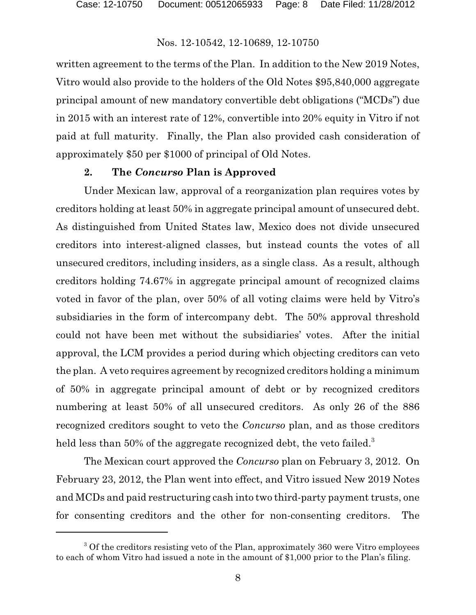written agreement to the terms of the Plan. In addition to the New 2019 Notes, Vitro would also provide to the holders of the Old Notes \$95,840,000 aggregate principal amount of new mandatory convertible debt obligations ("MCDs") due in 2015 with an interest rate of 12%, convertible into 20% equity in Vitro if not paid at full maturity. Finally, the Plan also provided cash consideration of approximately \$50 per \$1000 of principal of Old Notes.

## **2. The** *Concurso* **Plan is Approved**

Under Mexican law, approval of a reorganization plan requires votes by creditors holding at least 50% in aggregate principal amount of unsecured debt. As distinguished from United States law, Mexico does not divide unsecured creditors into interest-aligned classes, but instead counts the votes of all unsecured creditors, including insiders, as a single class. As a result, although creditors holding 74.67% in aggregate principal amount of recognized claims voted in favor of the plan, over 50% of all voting claims were held by Vitro's subsidiaries in the form of intercompany debt. The 50% approval threshold could not have been met without the subsidiaries' votes. After the initial approval, the LCM provides a period during which objecting creditors can veto the plan. A veto requires agreement by recognized creditors holding a minimum of 50% in aggregate principal amount of debt or by recognized creditors numbering at least 50% of all unsecured creditors. As only 26 of the 886 recognized creditors sought to veto the *Concurso* plan, and as those creditors held less than 50% of the aggregate recognized debt, the veto failed.<sup>3</sup>

The Mexican court approved the *Concurso* plan on February 3, 2012. On February 23, 2012, the Plan went into effect, and Vitro issued New 2019 Notes and MCDs and paid restructuring cash into two third-party payment trusts, one for consenting creditors and the other for non-consenting creditors. The

 $3$  Of the creditors resisting veto of the Plan, approximately 360 were Vitro employees to each of whom Vitro had issued a note in the amount of \$1,000 prior to the Plan's filing.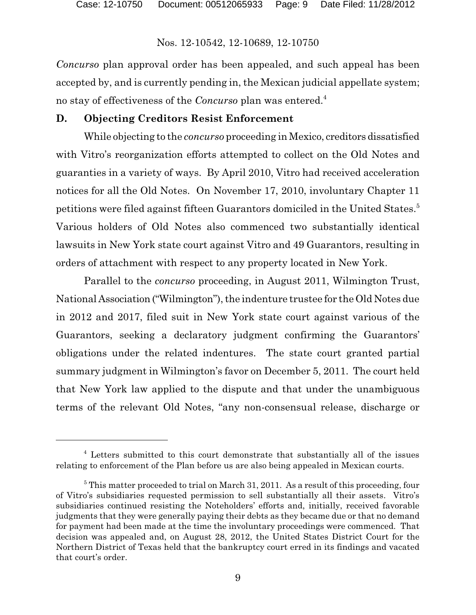*Concurso* plan approval order has been appealed, and such appeal has been accepted by, and is currently pending in, the Mexican judicial appellate system; no stay of effectiveness of the *Concurso* plan was entered.<sup>4</sup>

### **D. Objecting Creditors Resist Enforcement**

While objecting to the *concurso* proceeding in Mexico, creditors dissatisfied with Vitro's reorganization efforts attempted to collect on the Old Notes and guaranties in a variety of ways. By April 2010, Vitro had received acceleration notices for all the Old Notes. On November 17, 2010, involuntary Chapter 11 petitions were filed against fifteen Guarantors domiciled in the United States.<sup>5</sup> Various holders of Old Notes also commenced two substantially identical lawsuits in New York state court against Vitro and 49 Guarantors, resulting in orders of attachment with respect to any property located in New York.

Parallel to the *concurso* proceeding, in August 2011, Wilmington Trust, National Association ("Wilmington"), the indenture trustee for the Old Notes due in 2012 and 2017, filed suit in New York state court against various of the Guarantors, seeking a declaratory judgment confirming the Guarantors' obligations under the related indentures. The state court granted partial summary judgment in Wilmington's favor on December 5, 2011. The court held that New York law applied to the dispute and that under the unambiguous terms of the relevant Old Notes, "any non-consensual release, discharge or

<sup>&</sup>lt;sup>4</sup> Letters submitted to this court demonstrate that substantially all of the issues relating to enforcement of the Plan before us are also being appealed in Mexican courts.

 $5$  This matter proceeded to trial on March 31, 2011. As a result of this proceeding, four of Vitro's subsidiaries requested permission to sell substantially all their assets. Vitro's subsidiaries continued resisting the Noteholders' efforts and, initially, received favorable judgments that they were generally paying their debts as they became due or that no demand for payment had been made at the time the involuntary proceedings were commenced. That decision was appealed and, on August 28, 2012, the United States District Court for the Northern District of Texas held that the bankruptcy court erred in its findings and vacated that court's order.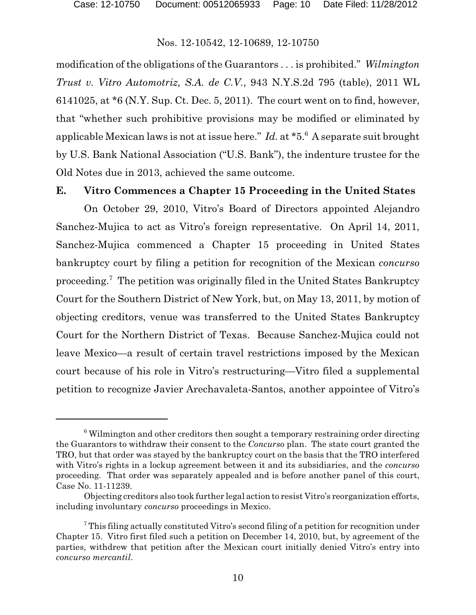modification of the obligations of the Guarantors . . . is prohibited." *Wilmington Trust v. Vitro Automotriz, S.A. de C.V.*, 943 N.Y.S.2d 795 (table), 2011 WL 6141025, at \*6 (N.Y. Sup. Ct. Dec. 5, 2011). The court went on to find, however, that "whether such prohibitive provisions may be modified or eliminated by applicable Mexican laws is not at issue here." *Id.* at \*5.<sup>6</sup> A separate suit brought by U.S. Bank National Association ("U.S. Bank"), the indenture trustee for the Old Notes due in 2013, achieved the same outcome.

#### **E. Vitro Commences a Chapter 15 Proceeding in the United States**

On October 29, 2010, Vitro's Board of Directors appointed Alejandro Sanchez-Mujica to act as Vitro's foreign representative. On April 14, 2011, Sanchez-Mujica commenced a Chapter 15 proceeding in United States bankruptcy court by filing a petition for recognition of the Mexican *concurso* proceeding.<sup>7</sup> The petition was originally filed in the United States Bankruptcy Court for the Southern District of New York, but, on May 13, 2011, by motion of objecting creditors, venue was transferred to the United States Bankruptcy Court for the Northern District of Texas. Because Sanchez-Mujica could not leave Mexico—a result of certain travel restrictions imposed by the Mexican court because of his role in Vitro's restructuring—Vitro filed a supplemental petition to recognize Javier Arechavaleta-Santos, another appointee of Vitro's

 $6$  Wilmington and other creditors then sought a temporary restraining order directing the Guarantors to withdraw their consent to the *Concurso* plan. The state court granted the TRO, but that order was stayed by the bankruptcy court on the basis that the TRO interfered with Vitro's rights in a lockup agreement between it and its subsidiaries, and the *concurso* proceeding. That order was separately appealed and is before another panel of this court, Case No. 11-11239.

Objecting creditors also took further legal action to resist Vitro's reorganization efforts, including involuntary *concurso* proceedings in Mexico.

 $\frac{7}{7}$  This filing actually constituted Vitro's second filing of a petition for recognition under Chapter 15. Vitro first filed such a petition on December 14, 2010, but, by agreement of the parties, withdrew that petition after the Mexican court initially denied Vitro's entry into *concurso mercantil*.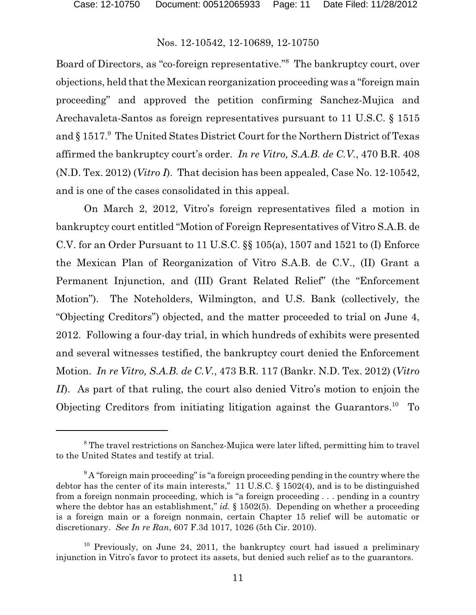Board of Directors, as "co-foreign representative."<sup>8</sup> The bankruptcy court, over objections, held that the Mexican reorganization proceeding was a "foreign main proceeding" and approved the petition confirming Sanchez-Mujica and Arechavaleta-Santos as foreign representatives pursuant to 11 U.S.C. § 1515 and  $\S 1517.9$  The United States District Court for the Northern District of Texas affirmed the bankruptcy court's order. *In re Vitro, S.A.B. de C.V.*, 470 B.R. 408 (N.D. Tex. 2012) (*Vitro I*). That decision has been appealed, Case No. 12-10542, and is one of the cases consolidated in this appeal.

On March 2, 2012, Vitro's foreign representatives filed a motion in bankruptcy court entitled "Motion of Foreign Representatives of Vitro S.A.B. de C.V. for an Order Pursuant to 11 U.S.C. §§ 105(a), 1507 and 1521 to (I) Enforce the Mexican Plan of Reorganization of Vitro S.A.B. de C.V., (II) Grant a Permanent Injunction, and (III) Grant Related Relief" (the "Enforcement Motion"). The Noteholders, Wilmington, and U.S. Bank (collectively, the "Objecting Creditors") objected, and the matter proceeded to trial on June 4, 2012. Following a four-day trial, in which hundreds of exhibits were presented and several witnesses testified, the bankruptcy court denied the Enforcement Motion. *In re Vitro, S.A.B. de C.V.*, 473 B.R. 117 (Bankr. N.D. Tex. 2012) (*Vitro II*). As part of that ruling, the court also denied Vitro's motion to enjoin the Objecting Creditors from initiating litigation against the Guarantors.<sup>10</sup> To

<sup>&</sup>lt;sup>8</sup> The travel restrictions on Sanchez-Mujica were later lifted, permitting him to travel to the United States and testify at trial.

 $\rm{P}^9A$  "foreign main proceeding" is "a foreign proceeding pending in the country where the debtor has the center of its main interests," 11 U.S.C. § 1502(4), and is to be distinguished from a foreign nonmain proceeding, which is "a foreign proceeding . . . pending in a country where the debtor has an establishment," *id.* § 1502(5). Depending on whether a proceeding is a foreign main or a foreign nonmain, certain Chapter 15 relief will be automatic or discretionary. *See In re Ran*, 607 F.3d 1017, 1026 (5th Cir. 2010).

<sup>&</sup>lt;sup>10</sup> Previously, on June 24, 2011, the bankruptcy court had issued a preliminary injunction in Vitro's favor to protect its assets, but denied such relief as to the guarantors.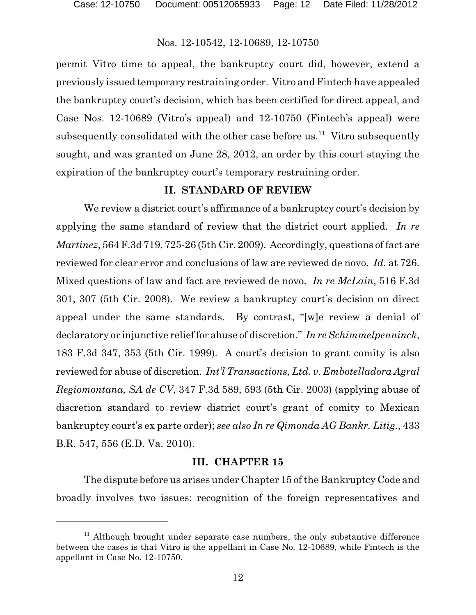permit Vitro time to appeal, the bankruptcy court did, however, extend a previously issued temporary restraining order. Vitro and Fintech have appealed the bankruptcy court's decision, which has been certified for direct appeal, and Case Nos. 12-10689 (Vitro's appeal) and 12-10750 (Fintech's appeal) were subsequently consolidated with the other case before us.<sup>11</sup> Vitro subsequently sought, and was granted on June 28, 2012, an order by this court staying the expiration of the bankruptcy court's temporary restraining order.

## **II. STANDARD OF REVIEW**

We review a district court's affirmance of a bankruptcy court's decision by applying the same standard of review that the district court applied. *In re Martinez*, 564 F.3d 719, 725-26 (5th Cir. 2009). Accordingly, questions of fact are reviewed for clear error and conclusions of law are reviewed de novo. *Id.* at 726. Mixed questions of law and fact are reviewed de novo. *In re McLain*, 516 F.3d 301, 307 (5th Cir. 2008). We review a bankruptcy court's decision on direct appeal under the same standards. By contrast, "[w]e review a denial of declaratory or injunctive relief for abuse of discretion." *In re Schimmelpenninck*, 183 F.3d 347, 353 (5th Cir. 1999). A court's decision to grant comity is also reviewed for abuse of discretion. *Int'l Transactions, Ltd. v. Embotelladora Agral Regiomontana, SA de CV*, 347 F.3d 589, 593 (5th Cir. 2003) (applying abuse of discretion standard to review district court's grant of comity to Mexican bankruptcy court's ex parte order); *see also In re Qimonda AG Bankr. Litig.*, 433 B.R. 547, 556 (E.D. Va. 2010).

## **III. CHAPTER 15**

The dispute before us arises under Chapter 15 of the Bankruptcy Code and broadly involves two issues: recognition of the foreign representatives and

<sup>&</sup>lt;sup>11</sup> Although brought under separate case numbers, the only substantive difference between the cases is that Vitro is the appellant in Case No. 12-10689, while Fintech is the appellant in Case No. 12-10750.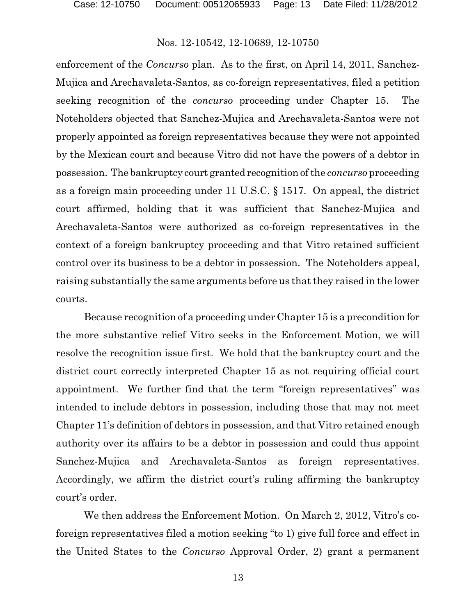enforcement of the *Concurso* plan. As to the first, on April 14, 2011, Sanchez-Mujica and Arechavaleta-Santos, as co-foreign representatives, filed a petition seeking recognition of the *concurso* proceeding under Chapter 15. The Noteholders objected that Sanchez-Mujica and Arechavaleta-Santos were not properly appointed as foreign representatives because they were not appointed by the Mexican court and because Vitro did not have the powers of a debtor in possession. The bankruptcy court granted recognition of the *concurso* proceeding as a foreign main proceeding under 11 U.S.C. § 1517. On appeal, the district court affirmed, holding that it was sufficient that Sanchez-Mujica and Arechavaleta-Santos were authorized as co-foreign representatives in the context of a foreign bankruptcy proceeding and that Vitro retained sufficient control over its business to be a debtor in possession. The Noteholders appeal, raising substantially the same arguments before us that they raised in the lower courts.

Because recognition of a proceeding under Chapter 15 is a precondition for the more substantive relief Vitro seeks in the Enforcement Motion, we will resolve the recognition issue first. We hold that the bankruptcy court and the district court correctly interpreted Chapter 15 as not requiring official court appointment. We further find that the term "foreign representatives" was intended to include debtors in possession, including those that may not meet Chapter 11's definition of debtors in possession, and that Vitro retained enough authority over its affairs to be a debtor in possession and could thus appoint Sanchez-Mujica and Arechavaleta-Santos as foreign representatives. Accordingly, we affirm the district court's ruling affirming the bankruptcy court's order.

We then address the Enforcement Motion. On March 2, 2012, Vitro's coforeign representatives filed a motion seeking "to 1) give full force and effect in the United States to the *Concurso* Approval Order, 2) grant a permanent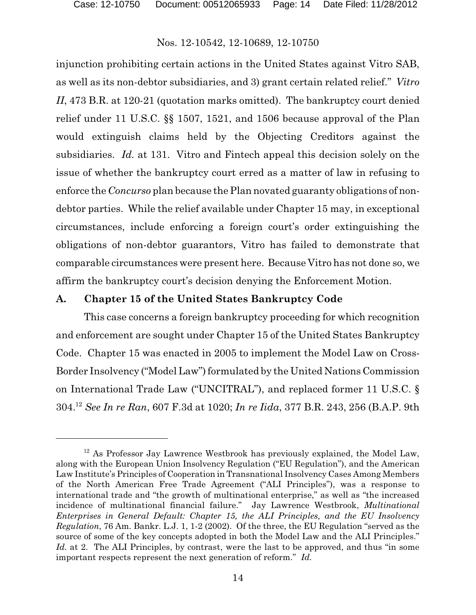injunction prohibiting certain actions in the United States against Vitro SAB, as well as its non-debtor subsidiaries, and 3) grant certain related relief." *Vitro II*, 473 B.R. at 120-21 (quotation marks omitted). The bankruptcy court denied relief under 11 U.S.C. §§ 1507, 1521, and 1506 because approval of the Plan would extinguish claims held by the Objecting Creditors against the subsidiaries. *Id.* at 131. Vitro and Fintech appeal this decision solely on the issue of whether the bankruptcy court erred as a matter of law in refusing to enforce the *Concurso* plan because the Plan novated guaranty obligations of nondebtor parties. While the relief available under Chapter 15 may, in exceptional circumstances, include enforcing a foreign court's order extinguishing the obligations of non-debtor guarantors, Vitro has failed to demonstrate that comparable circumstances were present here. Because Vitro has not done so, we affirm the bankruptcy court's decision denying the Enforcement Motion.

### **A. Chapter 15 of the United States Bankruptcy Code**

This case concerns a foreign bankruptcy proceeding for which recognition and enforcement are sought under Chapter 15 of the United States Bankruptcy Code. Chapter 15 was enacted in 2005 to implement the Model Law on Cross-Border Insolvency ("Model Law") formulated by the United Nations Commission on International Trade Law ("UNCITRAL"), and replaced former 11 U.S.C. § 304. *See In re Ran*, 607 F.3d at 1020; *In re Iida*, 377 B.R. 243, 256 (B.A.P. 9th <sup>12</sup>

<sup>&</sup>lt;sup>12</sup> As Professor Jay Lawrence Westbrook has previously explained, the Model Law, along with the European Union Insolvency Regulation ("EU Regulation"), and the American Law Institute's Principles of Cooperation in Transnational Insolvency Cases Among Members of the North American Free Trade Agreement ("ALI Principles"), was a response to international trade and "the growth of multinational enterprise," as well as "the increased incidence of multinational financial failure." Jay Lawrence Westbrook, *Multinational Enterprises in General Default: Chapter 15, the ALI Principles, and the EU Insolvency Regulation*, 76 Am. Bankr. L.J. 1, 1-2 (2002). Of the three, the EU Regulation "served as the source of some of the key concepts adopted in both the Model Law and the ALI Principles." Id. at 2. The ALI Principles, by contrast, were the last to be approved, and thus "in some important respects represent the next generation of reform." *Id.*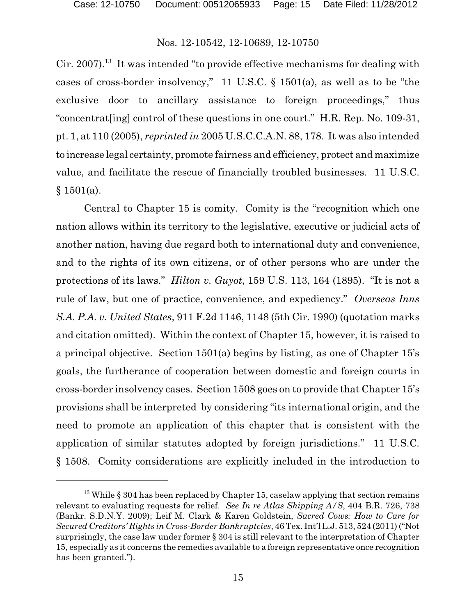Cir. 2007).<sup>13</sup> It was intended "to provide effective mechanisms for dealing with cases of cross-border insolvency," 11 U.S.C. § 1501(a), as well as to be "the exclusive door to ancillary assistance to foreign proceedings," thus "concentrat[ing] control of these questions in one court." H.R. Rep. No. 109-31, pt. 1, at 110 (2005), *reprinted in* 2005 U.S.C.C.A.N. 88, 178. It was also intended to increase legal certainty, promote fairness and efficiency, protect and maximize value, and facilitate the rescue of financially troubled businesses. 11 U.S.C.  $§ 1501(a).$ 

Central to Chapter 15 is comity. Comity is the "recognition which one nation allows within its territory to the legislative, executive or judicial acts of another nation, having due regard both to international duty and convenience, and to the rights of its own citizens, or of other persons who are under the protections of its laws." *Hilton v. Guyot*, 159 U.S. 113, 164 (1895). "It is not a rule of law, but one of practice, convenience, and expediency." *Overseas Inns S.A. P.A. v. United States*, 911 F.2d 1146, 1148 (5th Cir. 1990) (quotation marks and citation omitted). Within the context of Chapter 15, however, it is raised to a principal objective. Section 1501(a) begins by listing, as one of Chapter 15's goals, the furtherance of cooperation between domestic and foreign courts in cross-border insolvency cases. Section 1508 goes on to provide that Chapter 15's provisions shall be interpreted by considering "its international origin, and the need to promote an application of this chapter that is consistent with the application of similar statutes adopted by foreign jurisdictions." 11 U.S.C. § 1508. Comity considerations are explicitly included in the introduction to

 $13$  While § 304 has been replaced by Chapter 15, caselaw applying that section remains relevant to evaluating requests for relief. *See In re Atlas Shipping A/S*, 404 B.R. 726, 738 (Bankr. S.D.N.Y. 2009); Leif M. Clark & Karen Goldstein, *Sacred Cows: How to Care for Secured Creditors' Rights in Cross-Border Bankruptcies*, 46 Tex. Int'l L.J. 513, 524 (2011) ("Not surprisingly, the case law under former § 304 is still relevant to the interpretation of Chapter 15, especially as it concerns the remedies available to a foreign representative once recognition has been granted.").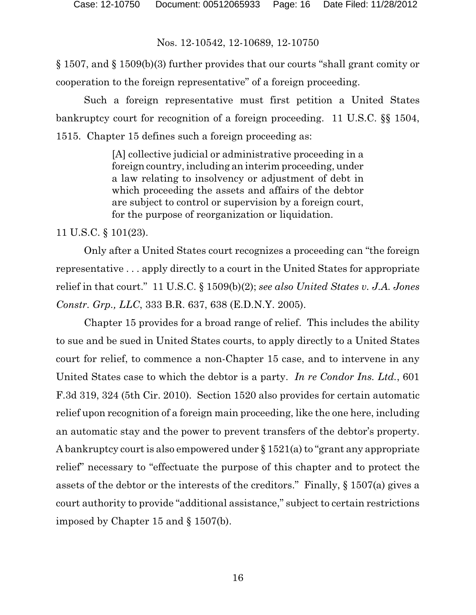§ 1507, and § 1509(b)(3) further provides that our courts "shall grant comity or cooperation to the foreign representative" of a foreign proceeding.

Such a foreign representative must first petition a United States bankruptcy court for recognition of a foreign proceeding. 11 U.S.C. §§ 1504, 1515. Chapter 15 defines such a foreign proceeding as:

> [A] collective judicial or administrative proceeding in a foreign country, including an interim proceeding, under a law relating to insolvency or adjustment of debt in which proceeding the assets and affairs of the debtor are subject to control or supervision by a foreign court, for the purpose of reorganization or liquidation.

11 U.S.C. § 101(23).

Only after a United States court recognizes a proceeding can "the foreign representative . . . apply directly to a court in the United States for appropriate relief in that court." 11 U.S.C. § 1509(b)(2); *see also United States v. J.A. Jones Constr. Grp., LLC*, 333 B.R. 637, 638 (E.D.N.Y. 2005).

Chapter 15 provides for a broad range of relief. This includes the ability to sue and be sued in United States courts, to apply directly to a United States court for relief, to commence a non-Chapter 15 case, and to intervene in any United States case to which the debtor is a party. *In re Condor Ins. Ltd.*, 601 F.3d 319, 324 (5th Cir. 2010). Section 1520 also provides for certain automatic relief upon recognition of a foreign main proceeding, like the one here, including an automatic stay and the power to prevent transfers of the debtor's property. A bankruptcy court is also empowered under § 1521(a) to "grant any appropriate relief" necessary to "effectuate the purpose of this chapter and to protect the assets of the debtor or the interests of the creditors." Finally, § 1507(a) gives a court authority to provide "additional assistance," subject to certain restrictions imposed by Chapter 15 and § 1507(b).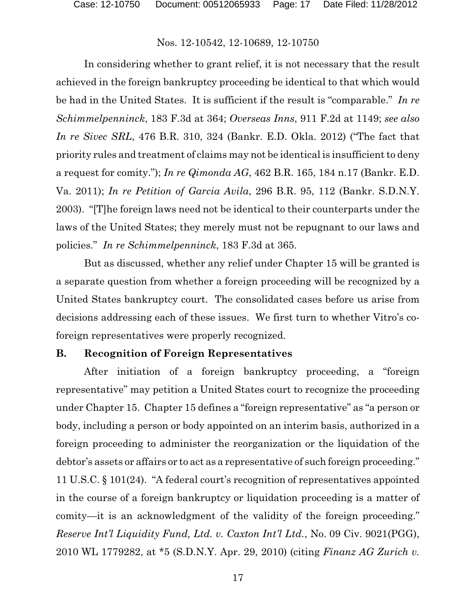In considering whether to grant relief, it is not necessary that the result achieved in the foreign bankruptcy proceeding be identical to that which would be had in the United States. It is sufficient if the result is "comparable." *In re Schimmelpenninck*, 183 F.3d at 364; *Overseas Inns*, 911 F.2d at 1149; *see also In re Sivec SRL*, 476 B.R. 310, 324 (Bankr. E.D. Okla. 2012) ("The fact that priority rules and treatment of claims may not be identical is insufficient to deny a request for comity."); *In re Qimonda AG*, 462 B.R. 165, 184 n.17 (Bankr. E.D. Va. 2011); *In re Petition of Garcia Avila*, 296 B.R. 95, 112 (Bankr. S.D.N.Y. 2003). "[T]he foreign laws need not be identical to their counterparts under the laws of the United States; they merely must not be repugnant to our laws and policies." *In re Schimmelpenninck*, 183 F.3d at 365.

But as discussed, whether any relief under Chapter 15 will be granted is a separate question from whether a foreign proceeding will be recognized by a United States bankruptcy court. The consolidated cases before us arise from decisions addressing each of these issues. We first turn to whether Vitro's coforeign representatives were properly recognized.

### **B. Recognition of Foreign Representatives**

After initiation of a foreign bankruptcy proceeding, a "foreign representative" may petition a United States court to recognize the proceeding under Chapter 15. Chapter 15 defines a "foreign representative" as "a person or body, including a person or body appointed on an interim basis, authorized in a foreign proceeding to administer the reorganization or the liquidation of the debtor's assets or affairs or to act as a representative of such foreign proceeding." 11 U.S.C. § 101(24). "A federal court's recognition of representatives appointed in the course of a foreign bankruptcy or liquidation proceeding is a matter of comity—it is an acknowledgment of the validity of the foreign proceeding." *Reserve Int'l Liquidity Fund, Ltd. v. Caxton Int'l Ltd.*, No. 09 Civ. 9021(PGG), 2010 WL 1779282, at \*5 (S.D.N.Y. Apr. 29, 2010) (citing *Finanz AG Zurich v.*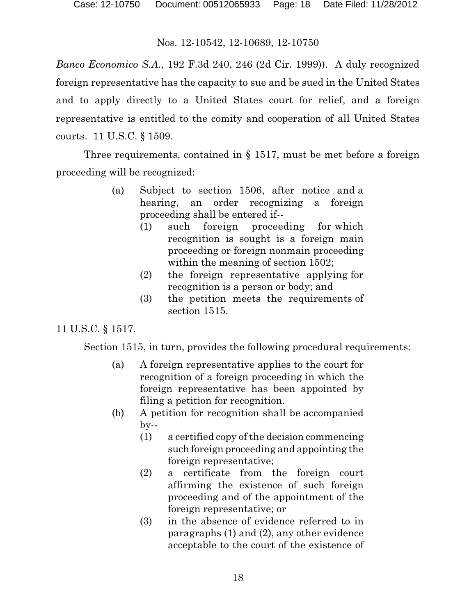*Banco Economico S.A.*, 192 F.3d 240, 246 (2d Cir. 1999)). A duly recognized foreign representative has the capacity to sue and be sued in the United States and to apply directly to a United States court for relief, and a foreign representative is entitled to the comity and cooperation of all United States courts. 11 U.S.C. § 1509.

Three requirements, contained in § 1517, must be met before a foreign proceeding will be recognized:

- (a) Subject to section 1506, after notice and a hearing, an order recognizing a foreign proceeding shall be entered if--
	- (1) such foreign proceeding for which recognition is sought is a foreign main proceeding or foreign nonmain proceeding within the meaning of section 1502;
	- (2) the foreign representative applying for recognition is a person or body; and
	- (3) the petition meets the requirements of section 1515.

## 11 U.S.C. § 1517.

Section 1515, in turn, provides the following procedural requirements:

- (a) A foreign representative applies to the court for recognition of a foreign proceeding in which the foreign representative has been appointed by filing a petition for recognition.
- (b) A petition for recognition shall be accompanied  $by--$ 
	- (1) a certified copy of the decision commencing such foreign proceeding and appointing the foreign representative;
	- (2) a certificate from the foreign court affirming the existence of such foreign proceeding and of the appointment of the foreign representative; or
	- (3) in the absence of evidence referred to in paragraphs (1) and (2), any other evidence acceptable to the court of the existence of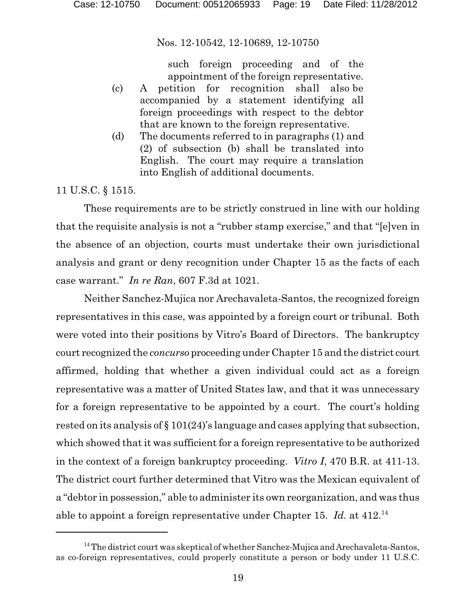such foreign proceeding and of the appointment of the foreign representative.

- (c) A petition for recognition shall also be accompanied by a statement identifying all foreign proceedings with respect to the debtor that are known to the foreign representative.
- (d) The documents referred to in paragraphs (1) and (2) of subsection (b) shall be translated into English. The court may require a translation into English of additional documents.

11 U.S.C. § 1515.

These requirements are to be strictly construed in line with our holding that the requisite analysis is not a "rubber stamp exercise," and that "[e]ven in the absence of an objection, courts must undertake their own jurisdictional analysis and grant or deny recognition under Chapter 15 as the facts of each case warrant." *In re Ran*, 607 F.3d at 1021.

Neither Sanchez-Mujica nor Arechavaleta-Santos, the recognized foreign representatives in this case, was appointed by a foreign court or tribunal. Both were voted into their positions by Vitro's Board of Directors. The bankruptcy court recognized the *concurso* proceeding under Chapter 15 and the district court affirmed, holding that whether a given individual could act as a foreign representative was a matter of United States law, and that it was unnecessary for a foreign representative to be appointed by a court. The court's holding rested on its analysis of § 101(24)'s language and cases applying that subsection, which showed that it was sufficient for a foreign representative to be authorized in the context of a foreign bankruptcy proceeding. *Vitro I*, 470 B.R. at 411-13. The district court further determined that Vitro was the Mexican equivalent of a "debtor in possession," able to administer its own reorganization, and was thus able to appoint a foreign representative under Chapter 15. *Id.* at 412.<sup>14</sup>

 $14$  The district court was skeptical of whether Sanchez-Mujica and Arechavaleta-Santos, as co-foreign representatives, could properly constitute a person or body under 11 U.S.C.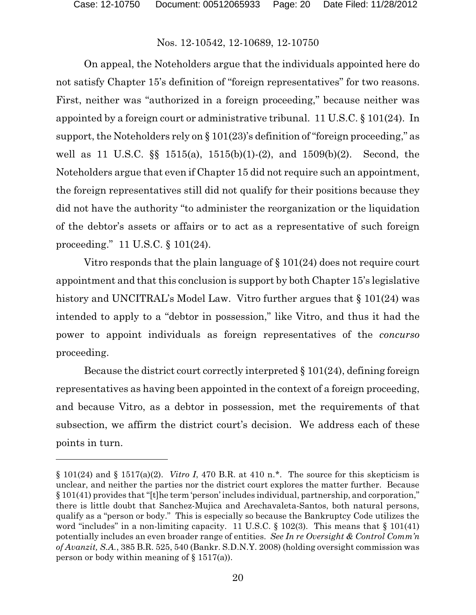On appeal, the Noteholders argue that the individuals appointed here do not satisfy Chapter 15's definition of "foreign representatives" for two reasons. First, neither was "authorized in a foreign proceeding," because neither was appointed by a foreign court or administrative tribunal. 11 U.S.C. § 101(24). In support, the Noteholders rely on § 101(23)'s definition of "foreign proceeding," as well as 11 U.S.C. §§ 1515(a), 1515(b)(1)-(2), and 1509(b)(2). Second, the Noteholders argue that even if Chapter 15 did not require such an appointment, the foreign representatives still did not qualify for their positions because they did not have the authority "to administer the reorganization or the liquidation of the debtor's assets or affairs or to act as a representative of such foreign proceeding." 11 U.S.C. § 101(24).

Vitro responds that the plain language of  $\S 101(24)$  does not require court appointment and that this conclusion is support by both Chapter 15's legislative history and UNCITRAL's Model Law. Vitro further argues that § 101(24) was intended to apply to a "debtor in possession," like Vitro, and thus it had the power to appoint individuals as foreign representatives of the *concurso* proceeding.

Because the district court correctly interpreted § 101(24), defining foreign representatives as having been appointed in the context of a foreign proceeding, and because Vitro, as a debtor in possession, met the requirements of that subsection, we affirm the district court's decision. We address each of these points in turn.

<sup>§ 101(24)</sup> and § 1517(a)(2). *Vitro I*, 470 B.R. at 410 n.<sup>\*</sup>. The source for this skepticism is unclear, and neither the parties nor the district court explores the matter further. Because § 101(41) provides that "[t]he term 'person' includes individual, partnership, and corporation," there is little doubt that Sanchez-Mujica and Arechavaleta-Santos, both natural persons, qualify as a "person or body." This is especially so because the Bankruptcy Code utilizes the word "includes" in a non-limiting capacity. 11 U.S.C.  $\S$  102(3). This means that  $\S$  101(41) potentially includes an even broader range of entities. *See In re Oversight & Control Comm'n of Avanzit, S.A.*, 385 B.R. 525, 540 (Bankr. S.D.N.Y. 2008) (holding oversight commission was person or body within meaning of  $\S 1517(a)$ .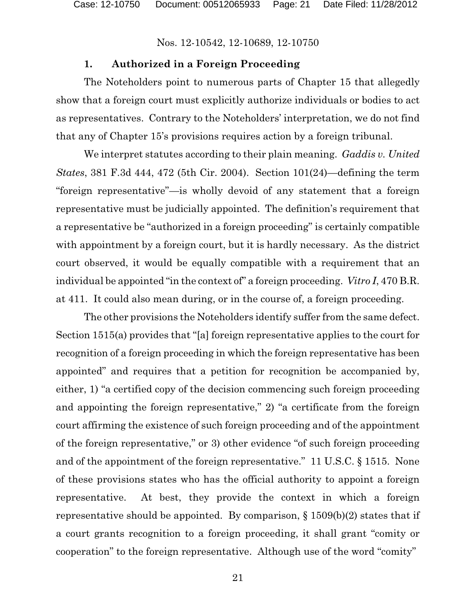### **1. Authorized in a Foreign Proceeding**

The Noteholders point to numerous parts of Chapter 15 that allegedly show that a foreign court must explicitly authorize individuals or bodies to act as representatives. Contrary to the Noteholders' interpretation, we do not find that any of Chapter 15's provisions requires action by a foreign tribunal.

We interpret statutes according to their plain meaning. *Gaddis v. United States*, 381 F.3d 444, 472 (5th Cir. 2004). Section 101(24)—defining the term "foreign representative"—is wholly devoid of any statement that a foreign representative must be judicially appointed. The definition's requirement that a representative be "authorized in a foreign proceeding" is certainly compatible with appointment by a foreign court, but it is hardly necessary. As the district court observed, it would be equally compatible with a requirement that an individual be appointed "in the context of" a foreign proceeding. *Vitro I*, 470 B.R. at 411. It could also mean during, or in the course of, a foreign proceeding.

The other provisions the Noteholders identify suffer from the same defect. Section 1515(a) provides that "[a] foreign representative applies to the court for recognition of a foreign proceeding in which the foreign representative has been appointed" and requires that a petition for recognition be accompanied by, either, 1) "a certified copy of the decision commencing such foreign proceeding and appointing the foreign representative," 2) "a certificate from the foreign court affirming the existence of such foreign proceeding and of the appointment of the foreign representative," or 3) other evidence "of such foreign proceeding and of the appointment of the foreign representative." 11 U.S.C. § 1515. None of these provisions states who has the official authority to appoint a foreign representative. At best, they provide the context in which a foreign representative should be appointed. By comparison,  $\S 1509(b)(2)$  states that if a court grants recognition to a foreign proceeding, it shall grant "comity or cooperation" to the foreign representative. Although use of the word "comity"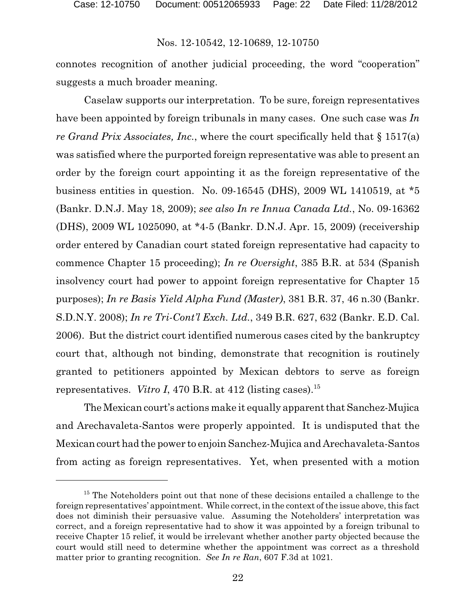connotes recognition of another judicial proceeding, the word "cooperation" suggests a much broader meaning.

Caselaw supports our interpretation. To be sure, foreign representatives have been appointed by foreign tribunals in many cases. One such case was *In re Grand Prix Associates, Inc.*, where the court specifically held that § 1517(a) was satisfied where the purported foreign representative was able to present an order by the foreign court appointing it as the foreign representative of the business entities in question. No. 09-16545 (DHS), 2009 WL 1410519, at \*5 (Bankr. D.N.J. May 18, 2009); *see also In re Innua Canada Ltd.*, No. 09-16362 (DHS), 2009 WL 1025090, at \*4-5 (Bankr. D.N.J. Apr. 15, 2009) (receivership order entered by Canadian court stated foreign representative had capacity to commence Chapter 15 proceeding); *In re Oversight*, 385 B.R. at 534 (Spanish insolvency court had power to appoint foreign representative for Chapter 15 purposes); *In re Basis Yield Alpha Fund (Master)*, 381 B.R. 37, 46 n.30 (Bankr. S.D.N.Y. 2008); *In re Tri-Cont'l Exch. Ltd.*, 349 B.R. 627, 632 (Bankr. E.D. Cal. 2006). But the district court identified numerous cases cited by the bankruptcy court that, although not binding, demonstrate that recognition is routinely granted to petitioners appointed by Mexican debtors to serve as foreign representatives. *Vitro I*, 470 B.R. at 412 (listing cases).<sup>15</sup>

The Mexican court's actions make it equally apparent that Sanchez-Mujica and Arechavaleta-Santos were properly appointed. It is undisputed that the Mexican court had the power to enjoin Sanchez-Mujica and Arechavaleta-Santos from acting as foreign representatives. Yet, when presented with a motion

 $15$  The Noteholders point out that none of these decisions entailed a challenge to the foreign representatives' appointment. While correct, in the context of the issue above, this fact does not diminish their persuasive value. Assuming the Noteholders' interpretation was correct, and a foreign representative had to show it was appointed by a foreign tribunal to receive Chapter 15 relief, it would be irrelevant whether another party objected because the court would still need to determine whether the appointment was correct as a threshold matter prior to granting recognition. *See In re Ran*, 607 F.3d at 1021.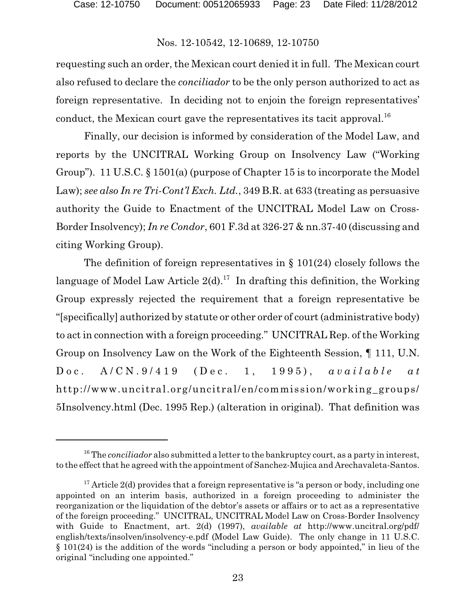requesting such an order, the Mexican court denied it in full. The Mexican court also refused to declare the *conciliador* to be the only person authorized to act as foreign representative. In deciding not to enjoin the foreign representatives' conduct, the Mexican court gave the representatives its tacit approval.<sup>16</sup>

Finally, our decision is informed by consideration of the Model Law, and reports by the UNCITRAL Working Group on Insolvency Law ("Working Group"). 11 U.S.C. § 1501(a) (purpose of Chapter 15 is to incorporate the Model Law); *see also In re Tri-Cont'l Exch. Ltd.*, 349 B.R. at 633 (treating as persuasive authority the Guide to Enactment of the UNCITRAL Model Law on Cross-Border Insolvency); *In re Condor*, 601 F.3d at 326-27 & nn.37-40 (discussing and citing Working Group).

The definition of foreign representatives in  $\S$  101(24) closely follows the language of Model Law Article  $2(d)$ .<sup>17</sup> In drafting this definition, the Working Group expressly rejected the requirement that a foreign representative be "[specifically] authorized by statute or other order of court (administrative body) to act in connection with a foreign proceeding." UNCITRAL Rep. of the Working Group on Insolvency Law on the Work of the Eighteenth Session, ¶ 111, U.N.  $Doc.$   $A/CN.9/419$  ( $Dec.$  1, 1995),  $a validable$  *at* http://www.uncitral.org/uncitral/en/commission/working\_groups/ 5Insolvency.html (Dec. 1995 Rep.) (alteration in original). That definition was

<sup>&</sup>lt;sup>16</sup> The *conciliador* also submitted a letter to the bankruptcy court, as a party in interest, to the effect that he agreed with the appointment of Sanchez-Mujica and Arechavaleta-Santos.

<sup>&</sup>lt;sup>17</sup> Article 2(d) provides that a foreign representative is "a person or body, including one appointed on an interim basis, authorized in a foreign proceeding to administer the reorganization or the liquidation of the debtor's assets or affairs or to act as a representative of the foreign proceeding." UNCITRAL, UNCITRAL Model Law on Cross-Border Insolvency with Guide to Enactment, art. 2(d) (1997), *available at* http://www.uncitral.org/pdf/ english/texts/insolven/insolvency-e.pdf (Model Law Guide). The only change in 11 U.S.C. § 101(24) is the addition of the words "including a person or body appointed," in lieu of the original "including one appointed."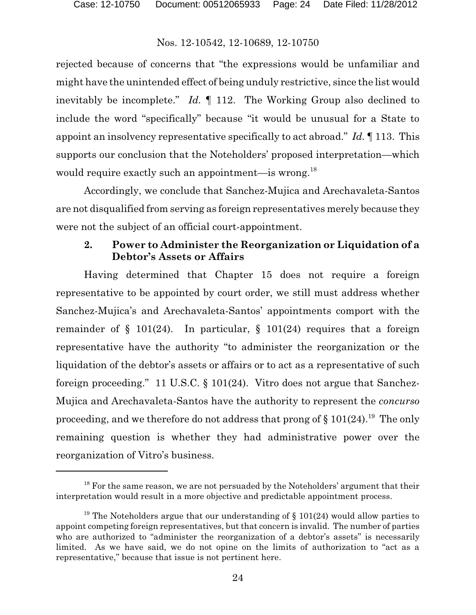rejected because of concerns that "the expressions would be unfamiliar and might have the unintended effect of being unduly restrictive, since the list would inevitably be incomplete." *Id.* ¶ 112. The Working Group also declined to include the word "specifically" because "it would be unusual for a State to appoint an insolvency representative specifically to act abroad." *Id.* ¶ 113. This supports our conclusion that the Noteholders' proposed interpretation—which would require exactly such an appointment—is wrong.<sup>18</sup>

Accordingly, we conclude that Sanchez-Mujica and Arechavaleta-Santos are not disqualified from serving as foreign representatives merely because they were not the subject of an official court-appointment.

## **2. Power to Administer the Reorganization or Liquidation of a Debtor's Assets or Affairs**

Having determined that Chapter 15 does not require a foreign representative to be appointed by court order, we still must address whether Sanchez-Mujica's and Arechavaleta-Santos' appointments comport with the remainder of  $\S$  101(24). In particular,  $\S$  101(24) requires that a foreign representative have the authority "to administer the reorganization or the liquidation of the debtor's assets or affairs or to act as a representative of such foreign proceeding." 11 U.S.C. § 101(24). Vitro does not argue that Sanchez-Mujica and Arechavaleta-Santos have the authority to represent the *concurso* proceeding, and we therefore do not address that prong of  $\S 101(24)$ .<sup>19</sup> The only remaining question is whether they had administrative power over the reorganization of Vitro's business.

 $^{18}$  For the same reason, we are not persuaded by the Noteholders' argument that their interpretation would result in a more objective and predictable appointment process.

<sup>&</sup>lt;sup>19</sup> The Noteholders argue that our understanding of  $\S$  101(24) would allow parties to appoint competing foreign representatives, but that concern is invalid. The number of parties who are authorized to "administer the reorganization of a debtor's assets" is necessarily limited. As we have said, we do not opine on the limits of authorization to "act as a representative," because that issue is not pertinent here.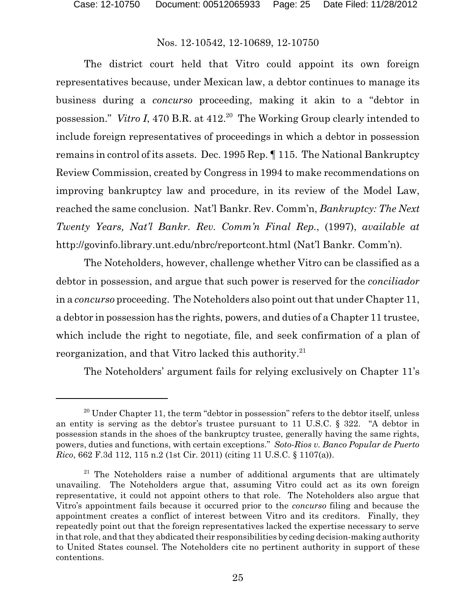The district court held that Vitro could appoint its own foreign representatives because, under Mexican law, a debtor continues to manage its business during a *concurso* proceeding, making it akin to a "debtor in possession." *Vitro I*, 470 B.R. at 412.<sup>20</sup> The Working Group clearly intended to include foreign representatives of proceedings in which a debtor in possession remains in control of its assets. Dec. 1995 Rep. ¶ 115. The National Bankruptcy Review Commission, created by Congress in 1994 to make recommendations on improving bankruptcy law and procedure, in its review of the Model Law, reached the same conclusion. Nat'l Bankr. Rev. Comm'n, *Bankruptcy: The Next Twenty Years, Nat'l Bankr. Rev. Comm'n Final Rep.*, (1997), *available at* http://govinfo.library.unt.edu/nbrc/reportcont.html (Nat'l Bankr. Comm'n).

The Noteholders, however, challenge whether Vitro can be classified as a debtor in possession, and argue that such power is reserved for the *conciliador* in a *concurso* proceeding. The Noteholders also point out that under Chapter 11, a debtor in possession has the rights, powers, and duties of a Chapter 11 trustee, which include the right to negotiate, file, and seek confirmation of a plan of reorganization, and that Vitro lacked this authority.<sup>21</sup>

The Noteholders' argument fails for relying exclusively on Chapter 11's

 $20$  Under Chapter 11, the term "debtor in possession" refers to the debtor itself, unless an entity is serving as the debtor's trustee pursuant to 11 U.S.C. § 322. "A debtor in possession stands in the shoes of the bankruptcy trustee, generally having the same rights, powers, duties and functions, with certain exceptions." *Soto-Rios v. Banco Popular de Puerto Rico*, 662 F.3d 112, 115 n.2 (1st Cir. 2011) (citing 11 U.S.C. § 1107(a)).

 $21$  The Noteholders raise a number of additional arguments that are ultimately unavailing. The Noteholders argue that, assuming Vitro could act as its own foreign representative, it could not appoint others to that role. The Noteholders also argue that Vitro's appointment fails because it occurred prior to the *concurso* filing and because the appointment creates a conflict of interest between Vitro and its creditors. Finally, they repeatedly point out that the foreign representatives lacked the expertise necessary to serve in that role, and that they abdicated their responsibilities by ceding decision-making authority to United States counsel. The Noteholders cite no pertinent authority in support of these contentions.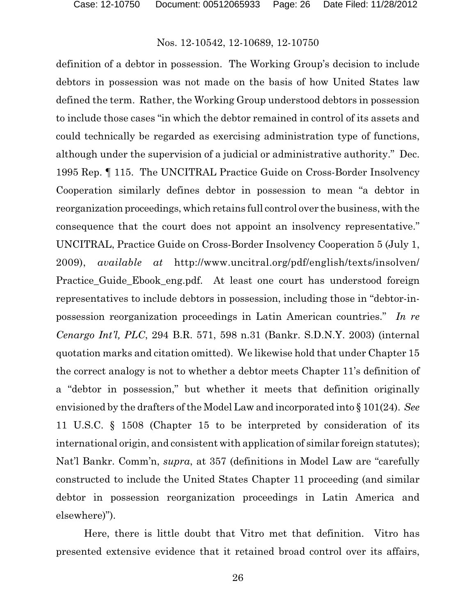definition of a debtor in possession. The Working Group's decision to include debtors in possession was not made on the basis of how United States law defined the term. Rather, the Working Group understood debtors in possession to include those cases "in which the debtor remained in control of its assets and could technically be regarded as exercising administration type of functions, although under the supervision of a judicial or administrative authority." Dec. 1995 Rep. ¶ 115. The UNCITRAL Practice Guide on Cross-Border Insolvency Cooperation similarly defines debtor in possession to mean "a debtor in reorganization proceedings, which retains full control over the business, with the consequence that the court does not appoint an insolvency representative." UNCITRAL, Practice Guide on Cross-Border Insolvency Cooperation 5 (July 1, 2009), *available at* http://www.uncitral.org/pdf/english/texts/insolven/ Practice\_Guide\_Ebook\_eng.pdf. At least one court has understood foreign representatives to include debtors in possession, including those in "debtor-inpossession reorganization proceedings in Latin American countries." *In re Cenargo Int'l, PLC*, 294 B.R. 571, 598 n.31 (Bankr. S.D.N.Y. 2003) (internal quotation marks and citation omitted). We likewise hold that under Chapter 15 the correct analogy is not to whether a debtor meets Chapter 11's definition of a "debtor in possession," but whether it meets that definition originally envisioned by the drafters of the Model Law and incorporated into § 101(24). *See* 11 U.S.C. § 1508 (Chapter 15 to be interpreted by consideration of its international origin, and consistent with application of similar foreign statutes); Nat'l Bankr. Comm'n, *supra*, at 357 (definitions in Model Law are "carefully constructed to include the United States Chapter 11 proceeding (and similar debtor in possession reorganization proceedings in Latin America and elsewhere)").

Here, there is little doubt that Vitro met that definition. Vitro has presented extensive evidence that it retained broad control over its affairs,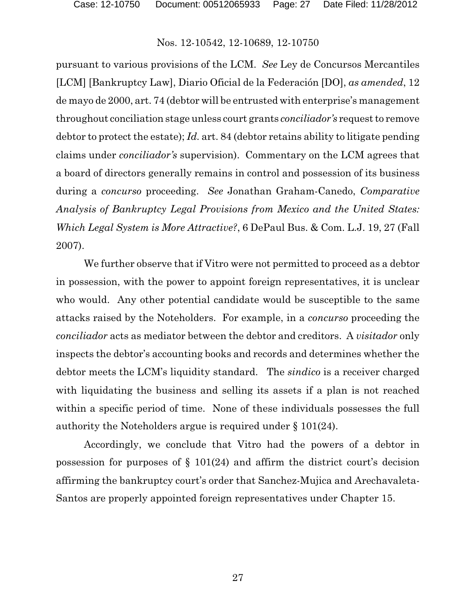pursuant to various provisions of the LCM. *See* Ley de Concursos Mercantiles [LCM] [Bankruptcy Law], Diario Oficial de la Federación [DO], *as amended*, 12 de mayo de 2000, art. 74 (debtor will be entrusted with enterprise's management throughout conciliation stage unless court grants *conciliador's* request to remove debtor to protect the estate); *Id.* art. 84 (debtor retains ability to litigate pending claims under *conciliador's* supervision).Commentary on the LCM agrees that a board of directors generally remains in control and possession of its business during a *concurso* proceeding. *See* Jonathan Graham-Canedo, *Comparative Analysis of Bankruptcy Legal Provisions from Mexico and the United States: Which Legal System is More Attractive?*, 6 DePaul Bus. & Com. L.J. 19, 27 (Fall 2007).

We further observe that if Vitro were not permitted to proceed as a debtor in possession, with the power to appoint foreign representatives, it is unclear who would. Any other potential candidate would be susceptible to the same attacks raised by the Noteholders. For example, in a *concurso* proceeding the *conciliador* acts as mediator between the debtor and creditors. A *visitador* only inspects the debtor's accounting books and records and determines whether the debtor meets the LCM's liquidity standard. The *sindico* is a receiver charged with liquidating the business and selling its assets if a plan is not reached within a specific period of time. None of these individuals possesses the full authority the Noteholders argue is required under § 101(24).

Accordingly, we conclude that Vitro had the powers of a debtor in possession for purposes of  $\S$  101(24) and affirm the district court's decision affirming the bankruptcy court's order that Sanchez-Mujica and Arechavaleta-Santos are properly appointed foreign representatives under Chapter 15.

27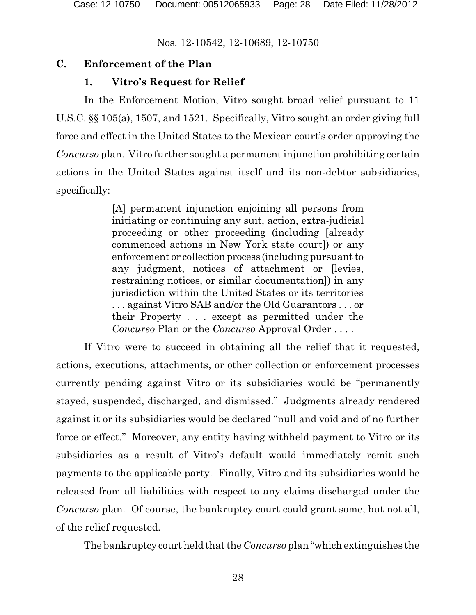## **C. Enforcement of the Plan**

# **1. Vitro's Request for Relief**

In the Enforcement Motion, Vitro sought broad relief pursuant to 11 U.S.C. §§ 105(a), 1507, and 1521. Specifically, Vitro sought an order giving full force and effect in the United States to the Mexican court's order approving the *Concurso* plan. Vitro further sought a permanent injunction prohibiting certain actions in the United States against itself and its non-debtor subsidiaries, specifically:

> [A] permanent injunction enjoining all persons from initiating or continuing any suit, action, extra-judicial proceeding or other proceeding (including [already commenced actions in New York state court]) or any enforcement or collection process (including pursuant to any judgment, notices of attachment or [levies, restraining notices, or similar documentation]) in any jurisdiction within the United States or its territories . . . against Vitro SAB and/or the Old Guarantors . . . or their Property . . . except as permitted under the *Concurso* Plan or the *Concurso* Approval Order . . . .

If Vitro were to succeed in obtaining all the relief that it requested, actions, executions, attachments, or other collection or enforcement processes currently pending against Vitro or its subsidiaries would be "permanently stayed, suspended, discharged, and dismissed." Judgments already rendered against it or its subsidiaries would be declared "null and void and of no further force or effect." Moreover, any entity having withheld payment to Vitro or its subsidiaries as a result of Vitro's default would immediately remit such payments to the applicable party. Finally, Vitro and its subsidiaries would be released from all liabilities with respect to any claims discharged under the *Concurso* plan. Of course, the bankruptcy court could grant some, but not all, of the relief requested.

The bankruptcy courtheld that the *Concurso* plan "which extinguishes the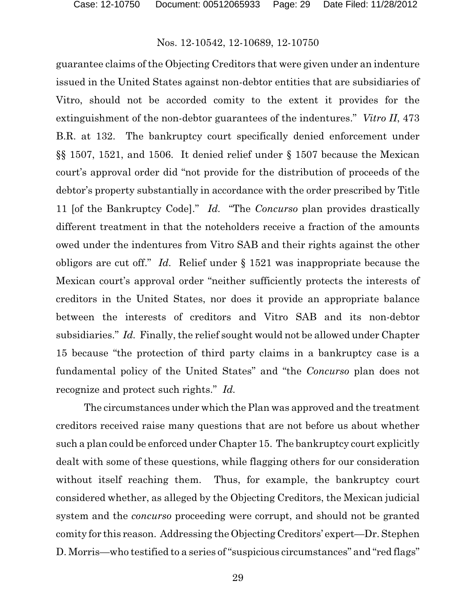guarantee claims of the Objecting Creditors that were given under an indenture issued in the United States against non-debtor entities that are subsidiaries of Vitro, should not be accorded comity to the extent it provides for the extinguishment of the non-debtor guarantees of the indentures." *Vitro II*, 473 B.R. at 132. The bankruptcy court specifically denied enforcement under §§ 1507, 1521, and 1506. It denied relief under § 1507 because the Mexican court's approval order did "not provide for the distribution of proceeds of the debtor's property substantially in accordance with the order prescribed by Title 11 [of the Bankruptcy Code]." *Id.* "The *Concurso* plan provides drastically different treatment in that the noteholders receive a fraction of the amounts owed under the indentures from Vitro SAB and their rights against the other obligors are cut off." *Id.* Relief under § 1521 was inappropriate because the Mexican court's approval order "neither sufficiently protects the interests of creditors in the United States, nor does it provide an appropriate balance between the interests of creditors and Vitro SAB and its non-debtor subsidiaries." *Id.* Finally, the relief sought would not be allowed under Chapter 15 because "the protection of third party claims in a bankruptcy case is a fundamental policy of the United States" and "the *Concurso* plan does not recognize and protect such rights." *Id.*

The circumstances under which the Plan was approved and the treatment creditors received raise many questions that are not before us about whether such a plan could be enforced under Chapter 15. The bankruptcy court explicitly dealt with some of these questions, while flagging others for our consideration without itself reaching them. Thus, for example, the bankruptcy court considered whether, as alleged by the Objecting Creditors, the Mexican judicial system and the *concurso* proceeding were corrupt, and should not be granted comity for this reason. Addressing the Objecting Creditors' expert—Dr. Stephen D. Morris—who testified to a series of "suspicious circumstances" and "red flags"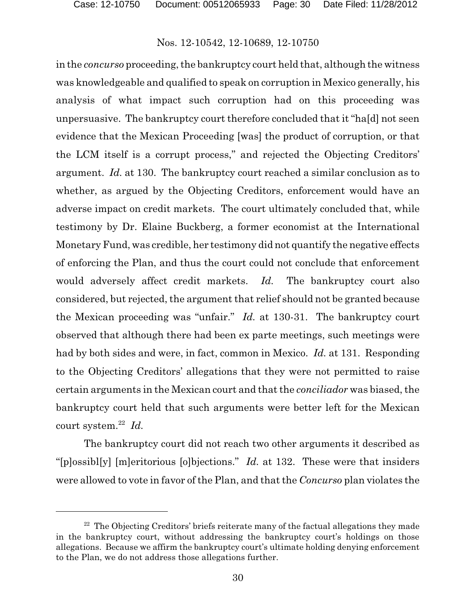in the *concurso* proceeding, the bankruptcy court held that, although the witness was knowledgeable and qualified to speak on corruption in Mexico generally, his analysis of what impact such corruption had on this proceeding was unpersuasive. The bankruptcy court therefore concluded that it "ha[d] not seen evidence that the Mexican Proceeding [was] the product of corruption, or that the LCM itself is a corrupt process," and rejected the Objecting Creditors' argument. *Id.* at 130. The bankruptcy court reached a similar conclusion as to whether, as argued by the Objecting Creditors, enforcement would have an adverse impact on credit markets. The court ultimately concluded that, while testimony by Dr. Elaine Buckberg, a former economist at the International Monetary Fund, was credible, her testimony did not quantify the negative effects of enforcing the Plan, and thus the court could not conclude that enforcement would adversely affect credit markets. *Id.* The bankruptcy court also considered, but rejected, the argument that relief should not be granted because the Mexican proceeding was "unfair." *Id.* at 130-31. The bankruptcy court observed that although there had been ex parte meetings, such meetings were had by both sides and were, in fact, common in Mexico. *Id.* at 131. Responding to the Objecting Creditors' allegations that they were not permitted to raise certain arguments in the Mexican court and that the *conciliador* was biased, the bankruptcy court held that such arguments were better left for the Mexican court system.<sup>22</sup> Id.

The bankruptcy court did not reach two other arguments it described as "[p]ossibl[y] [m]eritorious [o]bjections." *Id.* at 132. These were that insiders were allowed to vote in favor of the Plan, and that the *Concurso* plan violates the

 $22$  The Objecting Creditors' briefs reiterate many of the factual allegations they made in the bankruptcy court, without addressing the bankruptcy court's holdings on those allegations. Because we affirm the bankruptcy court's ultimate holding denying enforcement to the Plan, we do not address those allegations further.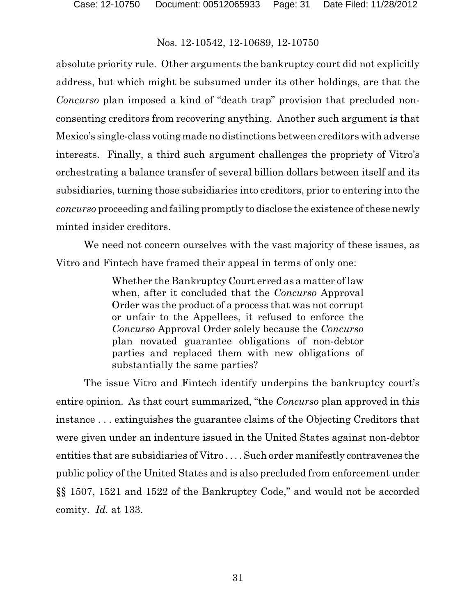absolute priority rule. Other arguments the bankruptcy court did not explicitly address, but which might be subsumed under its other holdings, are that the *Concurso* plan imposed a kind of "death trap" provision that precluded nonconsenting creditors from recovering anything. Another such argument is that Mexico's single-class voting made no distinctions between creditors with adverse interests. Finally, a third such argument challenges the propriety of Vitro's orchestrating a balance transfer of several billion dollars between itself and its subsidiaries, turning those subsidiaries into creditors, prior to entering into the *concurso* proceeding and failing promptly to disclose the existence of these newly minted insider creditors.

We need not concern ourselves with the vast majority of these issues, as Vitro and Fintech have framed their appeal in terms of only one:

> Whether the Bankruptcy Court erred as a matter of law when, after it concluded that the *Concurso* Approval Order was the product of a process that was not corrupt or unfair to the Appellees, it refused to enforce the *Concurso* Approval Order solely because the *Concurso* plan novated guarantee obligations of non-debtor parties and replaced them with new obligations of substantially the same parties?

The issue Vitro and Fintech identify underpins the bankruptcy court's entire opinion. As that court summarized, "the *Concurso* plan approved in this instance . . . extinguishes the guarantee claims of the Objecting Creditors that were given under an indenture issued in the United States against non-debtor entities that are subsidiaries of Vitro . . . . Such order manifestly contravenes the public policy of the United States and is also precluded from enforcement under §§ 1507, 1521 and 1522 of the Bankruptcy Code," and would not be accorded comity. *Id.* at 133.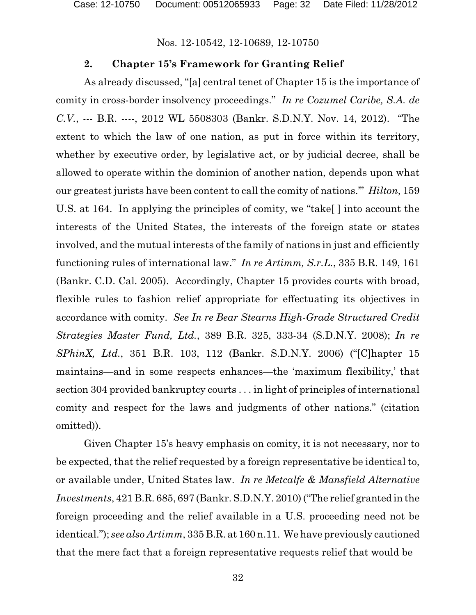## **2. Chapter 15's Framework for Granting Relief**

As already discussed, "[a] central tenet of Chapter 15 is the importance of comity in cross-border insolvency proceedings." *In re Cozumel Caribe, S.A. de C.V.*, --- B.R. ----, 2012 WL 5508303 (Bankr. S.D.N.Y. Nov. 14, 2012). "The extent to which the law of one nation, as put in force within its territory, whether by executive order, by legislative act, or by judicial decree, shall be allowed to operate within the dominion of another nation, depends upon what our greatest jurists have been content to call the comity of nations.'" *Hilton*, 159 U.S. at 164. In applying the principles of comity, we "take[ ] into account the interests of the United States, the interests of the foreign state or states involved, and the mutual interests of the family of nations in just and efficiently functioning rules of international law." *In re Artimm, S.r.L.*, 335 B.R. 149, 161 (Bankr. C.D. Cal. 2005). Accordingly, Chapter 15 provides courts with broad, flexible rules to fashion relief appropriate for effectuating its objectives in accordance with comity. *See In re Bear Stearns High-Grade Structured Credit Strategies Master Fund, Ltd.*, 389 B.R. 325, 333-34 (S.D.N.Y. 2008); *In re SPhinX, Ltd.*, 351 B.R. 103, 112 (Bankr. S.D.N.Y. 2006) ("[C]hapter 15 maintains—and in some respects enhances—the 'maximum flexibility,' that section 304 provided bankruptcy courts . . . in light of principles of international comity and respect for the laws and judgments of other nations." (citation omitted)).

Given Chapter 15's heavy emphasis on comity, it is not necessary, nor to be expected, that the relief requested by a foreign representative be identical to, or available under, United States law. *In re Metcalfe & Mansfield Alternative Investments*, 421 B.R. 685, 697 (Bankr. S.D.N.Y. 2010) ("The relief granted in the foreign proceeding and the relief available in a U.S. proceeding need not be identical."); *see also Artimm*, 335 B.R. at 160 n.11. We have previously cautioned that the mere fact that a foreign representative requests relief that would be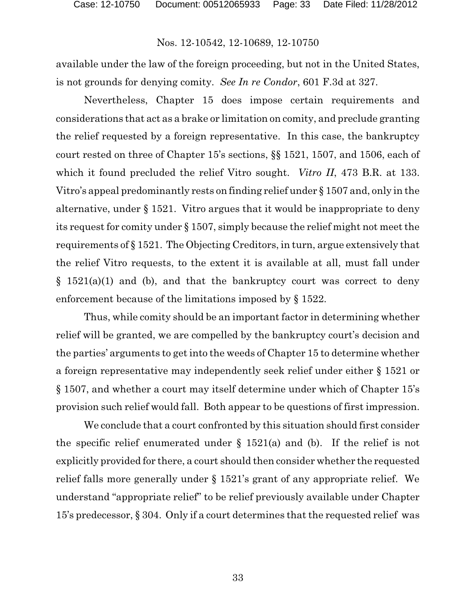available under the law of the foreign proceeding, but not in the United States, is not grounds for denying comity. *See In re Condor*, 601 F.3d at 327.

Nevertheless, Chapter 15 does impose certain requirements and considerations that act as a brake or limitation on comity, and preclude granting the relief requested by a foreign representative. In this case, the bankruptcy court rested on three of Chapter 15's sections, §§ 1521, 1507, and 1506, each of which it found precluded the relief Vitro sought. *Vitro II*, 473 B.R. at 133. Vitro's appeal predominantly rests on finding relief under § 1507 and, only in the alternative, under § 1521. Vitro argues that it would be inappropriate to deny its request for comity under § 1507, simply because the relief might not meet the requirements of § 1521. The Objecting Creditors, in turn, argue extensively that the relief Vitro requests, to the extent it is available at all, must fall under  $\S$  1521(a)(1) and (b), and that the bankruptcy court was correct to deny enforcement because of the limitations imposed by § 1522.

Thus, while comity should be an important factor in determining whether relief will be granted, we are compelled by the bankruptcy court's decision and the parties' arguments to get into the weeds of Chapter 15 to determine whether a foreign representative may independently seek relief under either § 1521 or § 1507, and whether a court may itself determine under which of Chapter 15's provision such relief would fall. Both appear to be questions of first impression.

We conclude that a court confronted by this situation should first consider the specific relief enumerated under  $\S$  1521(a) and (b). If the relief is not explicitly provided for there, a court should then consider whether the requested relief falls more generally under § 1521's grant of any appropriate relief. We understand "appropriate relief" to be relief previously available under Chapter 15's predecessor, § 304. Only if a court determines that the requested relief was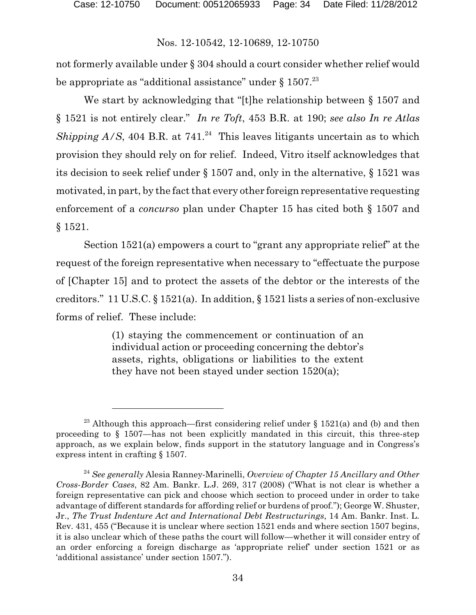not formerly available under § 304 should a court consider whether relief would be appropriate as "additional assistance" under  $\S 1507$ <sup>23</sup>

We start by acknowledging that "[t]he relationship between § 1507 and § 1521 is not entirely clear." *In re Toft*, 453 B.R. at 190; *see also In re Atlas Shipping A/S*, 404 B.R. at  $741.^{24}$  This leaves litigants uncertain as to which provision they should rely on for relief. Indeed, Vitro itself acknowledges that its decision to seek relief under § 1507 and, only in the alternative, § 1521 was motivated, in part, by the fact that every other foreign representative requesting enforcement of a *concurso* plan under Chapter 15 has cited both § 1507 and § 1521.

Section 1521(a) empowers a court to "grant any appropriate relief" at the request of the foreign representative when necessary to "effectuate the purpose of [Chapter 15] and to protect the assets of the debtor or the interests of the creditors." 11 U.S.C. § 1521(a). In addition, § 1521 lists a series of non-exclusive forms of relief. These include:

> (1) staying the commencement or continuation of an individual action or proceeding concerning the debtor's assets, rights, obligations or liabilities to the extent they have not been stayed under section 1520(a);

<sup>&</sup>lt;sup>23</sup> Although this approach—first considering relief under  $\S$  1521(a) and (b) and then proceeding to  $\S$  1507—has not been explicitly mandated in this circuit, this three-step approach, as we explain below, finds support in the statutory language and in Congress's express intent in crafting § 1507.

*See generally* Alesia Ranney-Marinelli, *Overview of Chapter 15 Ancillary and Other* 24 *Cross-Border Cases*, 82 Am. Bankr. L.J. 269, 317 (2008) ("What is not clear is whether a foreign representative can pick and choose which section to proceed under in order to take advantage of different standards for affording relief or burdens of proof."); George W. Shuster, Jr., *The Trust Indenture Act and International Debt Restructurings*, 14 Am. Bankr. Inst. L. Rev. 431, 455 ("Because it is unclear where section 1521 ends and where section 1507 begins, it is also unclear which of these paths the court will follow—whether it will consider entry of an order enforcing a foreign discharge as 'appropriate relief' under section 1521 or as 'additional assistance' under section 1507.").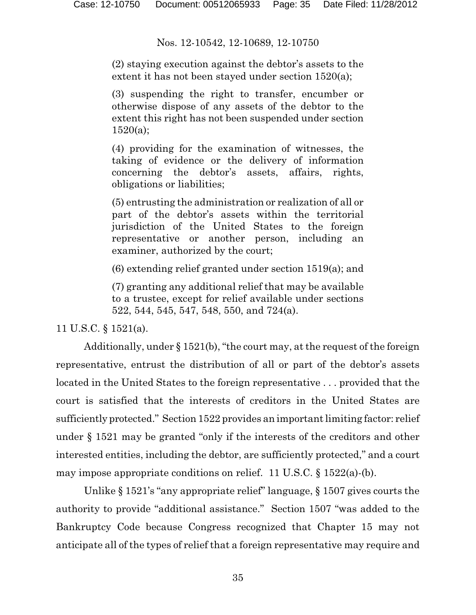(2) staying execution against the debtor's assets to the extent it has not been stayed under section 1520(a);

(3) suspending the right to transfer, encumber or otherwise dispose of any assets of the debtor to the extent this right has not been suspended under section  $1520(a)$ ;

(4) providing for the examination of witnesses, the taking of evidence or the delivery of information concerning the debtor's assets, affairs, rights, obligations or liabilities;

(5) entrusting the administration or realization of all or part of the debtor's assets within the territorial jurisdiction of the United States to the foreign representative or another person, including an examiner, authorized by the court;

(6) extending relief granted under section 1519(a); and

(7) granting any additional relief that may be available to a trustee, except for relief available under sections 522, 544, 545, 547, 548, 550, and 724(a).

11 U.S.C. § 1521(a).

Additionally, under § 1521(b), "the court may, at the request of the foreign representative, entrust the distribution of all or part of the debtor's assets located in the United States to the foreign representative . . . provided that the court is satisfied that the interests of creditors in the United States are sufficiently protected." Section 1522 provides an important limiting factor: relief under § 1521 may be granted "only if the interests of the creditors and other interested entities, including the debtor, are sufficiently protected," and a court may impose appropriate conditions on relief. 11 U.S.C. § 1522(a)-(b).

Unlike § 1521's "any appropriate relief" language, § 1507 gives courts the authority to provide "additional assistance." Section 1507 "was added to the Bankruptcy Code because Congress recognized that Chapter 15 may not anticipate all of the types of relief that a foreign representative may require and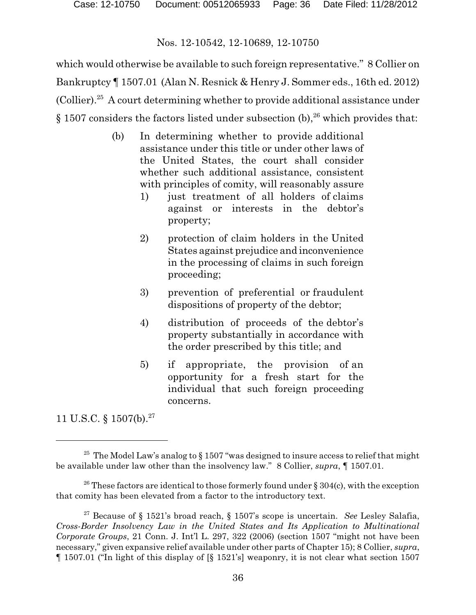which would otherwise be available to such foreign representative." 8 Collier on Bankruptcy ¶ 1507.01 (Alan N. Resnick & Henry J. Sommer eds., 16th ed. 2012) (Collier).<sup>25</sup> A court determining whether to provide additional assistance under  $§$  1507 considers the factors listed under subsection (b),  $26$  which provides that:

- (b) In determining whether to provide additional assistance under this title or under other laws of the United States, the court shall consider whether such additional assistance, consistent with principles of comity, will reasonably assure
	- 1) just treatment of all holders of claims against or interests in the debtor's property;
	- 2) protection of claim holders in the United States against prejudice and inconvenience in the processing of claims in such foreign proceeding;
	- 3) prevention of preferential or fraudulent dispositions of property of the debtor;
	- 4) distribution of proceeds of the debtor's property substantially in accordance with the order prescribed by this title; and
	- 5) if appropriate, the provision of an opportunity for a fresh start for the individual that such foreign proceeding concerns.

11 U.S.C. § 1507(b).<sup>27</sup>

<sup>&</sup>lt;sup>25</sup> The Model Law's analog to § 1507 "was designed to insure access to relief that might be available under law other than the insolvency law." 8 Collier, *supra*, ¶ 1507.01.

<sup>&</sup>lt;sup>26</sup> These factors are identical to those formerly found under § 304(c), with the exception that comity has been elevated from a factor to the introductory text.

<sup>&</sup>lt;sup>27</sup> Because of § 1521's broad reach, § 1507's scope is uncertain. *See* Lesley Salafia, *Cross-Border Insolvency Law in the United States and Its Application to Multinational Corporate Groups*, 21 Conn. J. Int'l L. 297, 322 (2006) (section 1507 "might not have been necessary," given expansive relief available under other parts of Chapter 15); 8 Collier, *supra*, ¶ 1507.01 ("In light of this display of [§ 1521's] weaponry, it is not clear what section 1507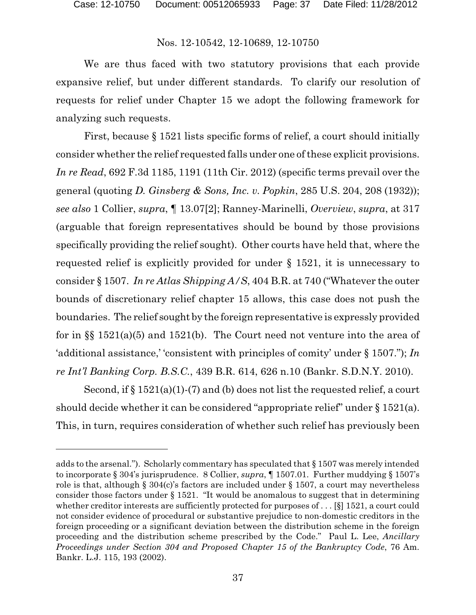We are thus faced with two statutory provisions that each provide expansive relief, but under different standards. To clarify our resolution of requests for relief under Chapter 15 we adopt the following framework for analyzing such requests.

First, because § 1521 lists specific forms of relief, a court should initially consider whether the relief requested falls under one of these explicit provisions. *In re Read*, 692 F.3d 1185, 1191 (11th Cir. 2012) (specific terms prevail over the general (quoting *D. Ginsberg & Sons, Inc. v. Popkin*, 285 U.S. 204, 208 (1932)); *see also* 1 Collier, *supra*, ¶ 13.07[2]; Ranney-Marinelli, *Overview*, *supra*, at 317 (arguable that foreign representatives should be bound by those provisions specifically providing the relief sought). Other courts have held that, where the requested relief is explicitly provided for under § 1521, it is unnecessary to consider § 1507. *In re Atlas Shipping A/S*, 404 B.R. at 740 ("Whatever the outer bounds of discretionary relief chapter 15 allows, this case does not push the boundaries. The relief sought by the foreign representative is expressly provided for in  $\S$  1521(a)(5) and 1521(b). The Court need not venture into the area of 'additional assistance,' 'consistent with principles of comity' under § 1507."); *In re Int'l Banking Corp. B.S.C.*, 439 B.R. 614, 626 n.10 (Bankr. S.D.N.Y. 2010).

Second, if  $\S 1521(a)(1)-(7)$  and (b) does not list the requested relief, a court should decide whether it can be considered "appropriate relief" under § 1521(a). This, in turn, requires consideration of whether such relief has previously been

adds to the arsenal."). Scholarly commentary has speculated that § 1507 was merely intended to incorporate § 304's jurisprudence. 8 Collier, *supra*, ¶ 1507.01. Further muddying § 1507's role is that, although § 304 $(c)$ 's factors are included under § 1507, a court may nevertheless consider those factors under § 1521. "It would be anomalous to suggest that in determining whether creditor interests are sufficiently protected for purposes of . . . [§] 1521, a court could not consider evidence of procedural or substantive prejudice to non-domestic creditors in the foreign proceeding or a significant deviation between the distribution scheme in the foreign proceeding and the distribution scheme prescribed by the Code." Paul L. Lee, *Ancillary Proceedings under Section 304 and Proposed Chapter 15 of the Bankruptcy Code*, 76 Am. Bankr. L.J. 115, 193 (2002).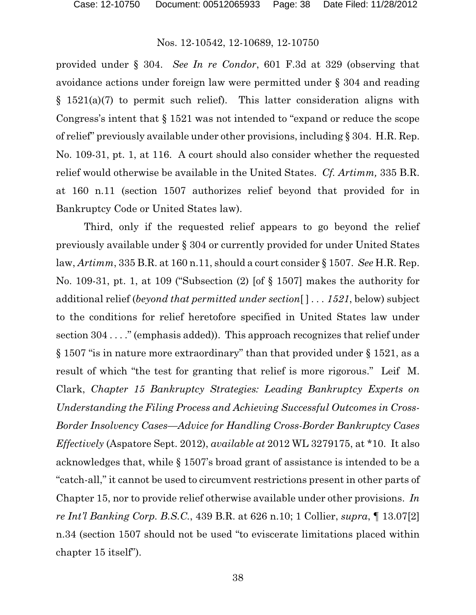provided under § 304. *See In re Condor*, 601 F.3d at 329 (observing that avoidance actions under foreign law were permitted under § 304 and reading § 1521(a)(7) to permit such relief). This latter consideration aligns with Congress's intent that § 1521 was not intended to "expand or reduce the scope of relief" previously available under other provisions, including § 304. H.R. Rep. No. 109-31, pt. 1, at 116. A court should also consider whether the requested relief would otherwise be available in the United States. *Cf. Artimm,* 335 B.R. at 160 n.11 (section 1507 authorizes relief beyond that provided for in Bankruptcy Code or United States law).

Third, only if the requested relief appears to go beyond the relief previously available under § 304 or currently provided for under United States law, *Artimm*, 335 B.R. at 160 n.11, should a court consider § 1507. *See* H.R. Rep. No. 109-31, pt. 1, at 109 ("Subsection (2) [of § 1507] makes the authority for additional relief (*beyond that permitted under section*[ ] *. . . 1521*, below) subject to the conditions for relief heretofore specified in United States law under section 304 . . . ." (emphasis added)). This approach recognizes that relief under § 1507 "is in nature more extraordinary" than that provided under § 1521, as a result of which "the test for granting that relief is more rigorous." Leif M. Clark, *Chapter 15 Bankruptcy Strategies: Leading Bankruptcy Experts on Understanding the Filing Process and Achieving Successful Outcomes in Cross-Border Insolvency Cases—Advice for Handling Cross-Border Bankruptcy Cases Effectively* (Aspatore Sept. 2012), *available at* 2012 WL 3279175, at \*10. It also acknowledges that, while § 1507's broad grant of assistance is intended to be a "catch-all," it cannot be used to circumvent restrictions present in other parts of Chapter 15, nor to provide relief otherwise available under other provisions. *In re Int'l Banking Corp. B.S.C.*, 439 B.R. at 626 n.10; 1 Collier, *supra*, ¶ 13.07[2] n.34 (section 1507 should not be used "to eviscerate limitations placed within chapter 15 itself").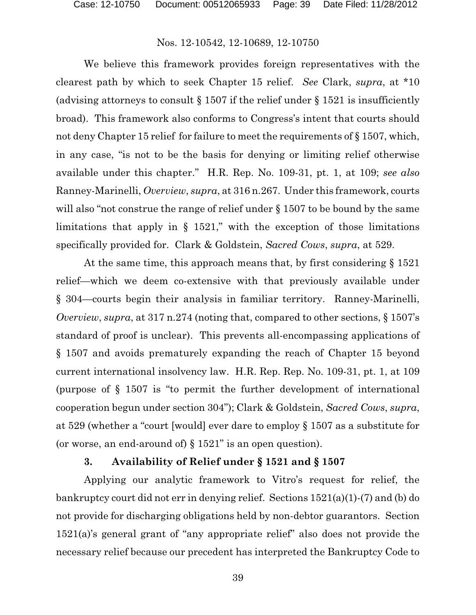We believe this framework provides foreign representatives with the clearest path by which to seek Chapter 15 relief. *See* Clark, *supra*, at \*10 (advising attorneys to consult  $\S 1507$  if the relief under  $\S 1521$  is insufficiently broad). This framework also conforms to Congress's intent that courts should not deny Chapter 15 relief for failure to meet the requirements of § 1507, which, in any case, "is not to be the basis for denying or limiting relief otherwise available under this chapter." H.R. Rep. No. 109-31, pt. 1, at 109; *see also* Ranney-Marinelli, *Overview*, *supra*, at 316 n.267. Under this framework, courts will also "not construe the range of relief under § 1507 to be bound by the same limitations that apply in  $\S$  1521," with the exception of those limitations specifically provided for. Clark & Goldstein, *Sacred Cows*, *supra*, at 529.

At the same time, this approach means that, by first considering § 1521 relief—which we deem co-extensive with that previously available under § 304—courts begin their analysis in familiar territory. Ranney-Marinelli, *Overview*, *supra*, at 317 n.274 (noting that, compared to other sections, § 1507's standard of proof is unclear). This prevents all-encompassing applications of § 1507 and avoids prematurely expanding the reach of Chapter 15 beyond current international insolvency law. H.R. Rep. Rep. No. 109-31, pt. 1, at 109 (purpose of § 1507 is "to permit the further development of international cooperation begun under section 304"); Clark & Goldstein, *Sacred Cows*, *supra*, at 529 (whether a "court [would] ever dare to employ § 1507 as a substitute for (or worse, an end-around of) § 1521" is an open question).

### **3. Availability of Relief under § 1521 and § 1507**

Applying our analytic framework to Vitro's request for relief, the bankruptcy court did not err in denying relief. Sections 1521(a)(1)-(7) and (b) do not provide for discharging obligations held by non-debtor guarantors. Section 1521(a)'s general grant of "any appropriate relief" also does not provide the necessary relief because our precedent has interpreted the Bankruptcy Code to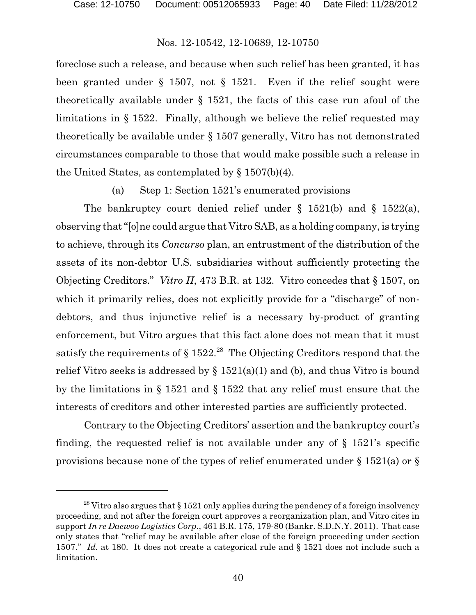foreclose such a release, and because when such relief has been granted, it has been granted under § 1507, not § 1521. Even if the relief sought were theoretically available under § 1521, the facts of this case run afoul of the limitations in § 1522. Finally, although we believe the relief requested may theoretically be available under § 1507 generally, Vitro has not demonstrated circumstances comparable to those that would make possible such a release in the United States, as contemplated by  $\S 1507(b)(4)$ .

(a) Step 1: Section 1521's enumerated provisions

The bankruptcy court denied relief under  $\S$  1521(b) and  $\S$  1522(a), observing that "[o]ne could argue that Vitro SAB, as a holding company, is trying to achieve, through its *Concurso* plan, an entrustment of the distribution of the assets of its non-debtor U.S. subsidiaries without sufficiently protecting the Objecting Creditors." *Vitro II*, 473 B.R. at 132. Vitro concedes that § 1507, on which it primarily relies, does not explicitly provide for a "discharge" of nondebtors, and thus injunctive relief is a necessary by-product of granting enforcement, but Vitro argues that this fact alone does not mean that it must satisfy the requirements of  $\S 1522$ .<sup>28</sup> The Objecting Creditors respond that the relief Vitro seeks is addressed by  $\S 1521(a)(1)$  and (b), and thus Vitro is bound by the limitations in § 1521 and § 1522 that any relief must ensure that the interests of creditors and other interested parties are sufficiently protected.

Contrary to the Objecting Creditors' assertion and the bankruptcy court's finding, the requested relief is not available under any of  $\S$  1521's specific provisions because none of the types of relief enumerated under § 1521(a) or §

<sup>&</sup>lt;sup>28</sup> Vitro also argues that § 1521 only applies during the pendency of a foreign insolvency proceeding, and not after the foreign court approves a reorganization plan, and Vitro cites in support *In re Daewoo Logistics Corp.*, 461 B.R. 175, 179-80 (Bankr. S.D.N.Y. 2011). That case only states that "relief may be available after close of the foreign proceeding under section 1507." *Id.* at 180. It does not create a categorical rule and § 1521 does not include such a limitation.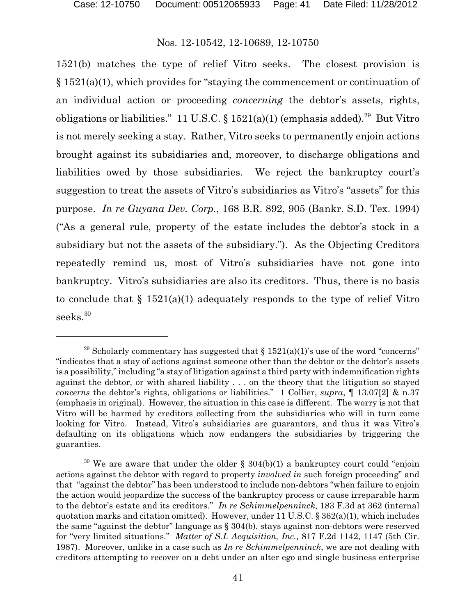1521(b) matches the type of relief Vitro seeks. The closest provision is § 1521(a)(1), which provides for "staying the commencement or continuation of an individual action or proceeding *concerning* the debtor's assets, rights, obligations or liabilities." 11 U.S.C. § 1521(a)(1) (emphasis added).<sup>29</sup> But Vitro is not merely seeking a stay. Rather, Vitro seeks to permanently enjoin actions brought against its subsidiaries and, moreover, to discharge obligations and liabilities owed by those subsidiaries. We reject the bankruptcy court's suggestion to treat the assets of Vitro's subsidiaries as Vitro's "assets" for this purpose. *In re Guyana Dev. Corp.*, 168 B.R. 892, 905 (Bankr. S.D. Tex. 1994) ("As a general rule, property of the estate includes the debtor's stock in a subsidiary but not the assets of the subsidiary."). As the Objecting Creditors repeatedly remind us, most of Vitro's subsidiaries have not gone into bankruptcy. Vitro's subsidiaries are also its creditors. Thus, there is no basis to conclude that  $\S 1521(a)(1)$  adequately responds to the type of relief Vitro seeks.<sup>30</sup>

<sup>&</sup>lt;sup>29</sup> Scholarly commentary has suggested that § 1521(a)(1)'s use of the word "concerns" "indicates that a stay of actions against someone other than the debtor or the debtor's assets is a possibility,"including "a stay of litigation against a third party with indemnification rights against the debtor, or with shared liability . . . on the theory that the litigation so stayed *concerns* the debtor's rights, obligations or liabilities." 1 Collier, *supra*, ¶ 13.07[2] & n.37 (emphasis in original). However, the situation in this case is different. The worry is not that Vitro will be harmed by creditors collecting from the subsidiaries who will in turn come looking for Vitro. Instead, Vitro's subsidiaries are guarantors, and thus it was Vitro's defaulting on its obligations which now endangers the subsidiaries by triggering the guaranties.

 $30$  We are aware that under the older § 304(b)(1) a bankruptcy court could "enjoin actions against the debtor with regard to property *involved in* such foreign proceeding" and that "against the debtor" has been understood to include non-debtors "when failure to enjoin the action would jeopardize the success of the bankruptcy process or cause irreparable harm to the debtor's estate and its creditors." *In re Schimmelpenninck*, 183 F.3d at 362 (internal quotation marks and citation omitted). However, under 11 U.S.C.  $\S 362(a)(1)$ , which includes the same "against the debtor" language as § 304(b), stays against non-debtors were reserved for "very limited situations." *Matter of S.I. Acquisition, Inc.*, 817 F.2d 1142, 1147 (5th Cir. 1987). Moreover, unlike in a case such as *In re Schimmelpenninck*, we are not dealing with creditors attempting to recover on a debt under an alter ego and single business enterprise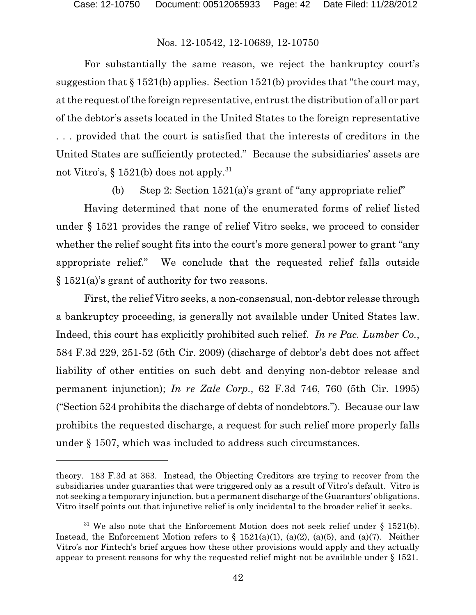For substantially the same reason, we reject the bankruptcy court's suggestion that  $\S 1521(b)$  applies. Section 1521(b) provides that "the court may, at the request of the foreign representative, entrust the distribution of all or part of the debtor's assets located in the United States to the foreign representative . . . provided that the court is satisfied that the interests of creditors in the United States are sufficiently protected." Because the subsidiaries' assets are not Vitro's,  $\S 1521(b)$  does not apply.<sup>31</sup>

(b) Step 2: Section 1521(a)'s grant of "any appropriate relief"

Having determined that none of the enumerated forms of relief listed under § 1521 provides the range of relief Vitro seeks, we proceed to consider whether the relief sought fits into the court's more general power to grant "any appropriate relief." We conclude that the requested relief falls outside § 1521(a)'s grant of authority for two reasons.

First, the relief Vitro seeks, a non-consensual, non-debtor release through a bankruptcy proceeding, is generally not available under United States law. Indeed, this court has explicitly prohibited such relief. *In re Pac. Lumber Co.*, 584 F.3d 229, 251-52 (5th Cir. 2009) (discharge of debtor's debt does not affect liability of other entities on such debt and denying non-debtor release and permanent injunction); *In re Zale Corp.*, 62 F.3d 746, 760 (5th Cir. 1995) ("Section 524 prohibits the discharge of debts of nondebtors."). Because our law prohibits the requested discharge, a request for such relief more properly falls under § 1507, which was included to address such circumstances.

theory. 183 F.3d at 363. Instead, the Objecting Creditors are trying to recover from the subsidiaries under guaranties that were triggered only as a result of Vitro's default. Vitro is not seeking a temporary injunction, but a permanent discharge of the Guarantors' obligations. Vitro itself points out that injunctive relief is only incidental to the broader relief it seeks.

<sup>&</sup>lt;sup>31</sup> We also note that the Enforcement Motion does not seek relief under § 1521(b). Instead, the Enforcement Motion refers to  $\S$  1521(a)(1), (a)(2), (a)(5), and (a)(7). Neither Vitro's nor Fintech's brief argues how these other provisions would apply and they actually appear to present reasons for why the requested relief might not be available under § 1521.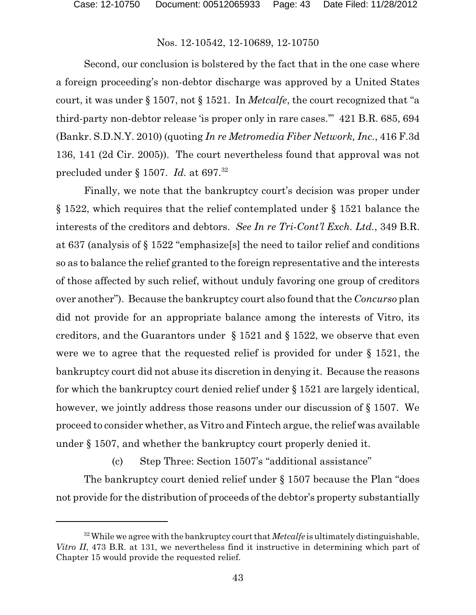Second, our conclusion is bolstered by the fact that in the one case where a foreign proceeding's non-debtor discharge was approved by a United States court, it was under § 1507, not § 1521. In *Metcalfe*, the court recognized that "a third-party non-debtor release 'is proper only in rare cases.'" 421 B.R. 685, 694 (Bankr. S.D.N.Y. 2010) (quoting *In re Metromedia Fiber Network, Inc.*, 416 F.3d 136, 141 (2d Cir. 2005)). The court nevertheless found that approval was not precluded under § 1507. *Id.* at 697.<sup>32</sup>

Finally, we note that the bankruptcy court's decision was proper under § 1522, which requires that the relief contemplated under § 1521 balance the interests of the creditors and debtors. *See In re Tri-Cont'l Exch. Ltd.*, 349 B.R. at 637 (analysis of § 1522 "emphasize[s] the need to tailor relief and conditions so as to balance the relief granted to the foreign representative and the interests of those affected by such relief, without unduly favoring one group of creditors over another"). Because the bankruptcy court also found that the *Concurso* plan did not provide for an appropriate balance among the interests of Vitro, its creditors, and the Guarantors under § 1521 and § 1522, we observe that even were we to agree that the requested relief is provided for under § 1521, the bankruptcy court did not abuse its discretion in denying it. Because the reasons for which the bankruptcy court denied relief under § 1521 are largely identical, however, we jointly address those reasons under our discussion of § 1507. We proceed to consider whether, as Vitro and Fintech argue, the relief was available under § 1507, and whether the bankruptcy court properly denied it.

(c) Step Three: Section 1507's "additional assistance"

The bankruptcy court denied relief under § 1507 because the Plan "does not provide for the distribution of proceeds of the debtor's property substantially

 $32$  While we agree with the bankruptcy court that *Metcalfe* is ultimately distinguishable, *Vitro II*, 473 B.R. at 131, we nevertheless find it instructive in determining which part of Chapter 15 would provide the requested relief.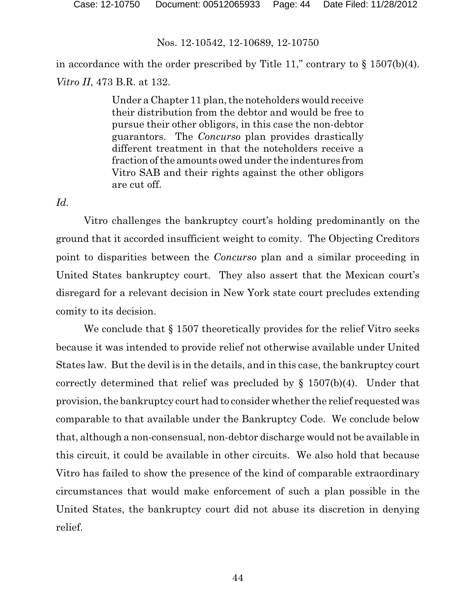in accordance with the order prescribed by Title 11," contrary to  $\S$  1507(b)(4). *Vitro II*, 473 B.R. at 132.

> Under a Chapter 11 plan, the noteholders would receive their distribution from the debtor and would be free to pursue their other obligors, in this case the non-debtor guarantors. The *Concurso* plan provides drastically different treatment in that the noteholders receive a fraction of the amounts owed under the indentures from Vitro SAB and their rights against the other obligors are cut off.

*Id.*

Vitro challenges the bankruptcy court's holding predominantly on the ground that it accorded insufficient weight to comity. The Objecting Creditors point to disparities between the *Concurso* plan and a similar proceeding in United States bankruptcy court. They also assert that the Mexican court's disregard for a relevant decision in New York state court precludes extending comity to its decision.

We conclude that  $\S 1507$  theoretically provides for the relief Vitro seeks because it was intended to provide relief not otherwise available under United States law. But the devil is in the details, and in this case, the bankruptcy court correctly determined that relief was precluded by § 1507(b)(4). Under that provision, the bankruptcy court had to consider whether the relief requested was comparable to that available under the Bankruptcy Code. We conclude below that, although a non-consensual, non-debtor discharge would not be available in this circuit, it could be available in other circuits. We also hold that because Vitro has failed to show the presence of the kind of comparable extraordinary circumstances that would make enforcement of such a plan possible in the United States, the bankruptcy court did not abuse its discretion in denying relief.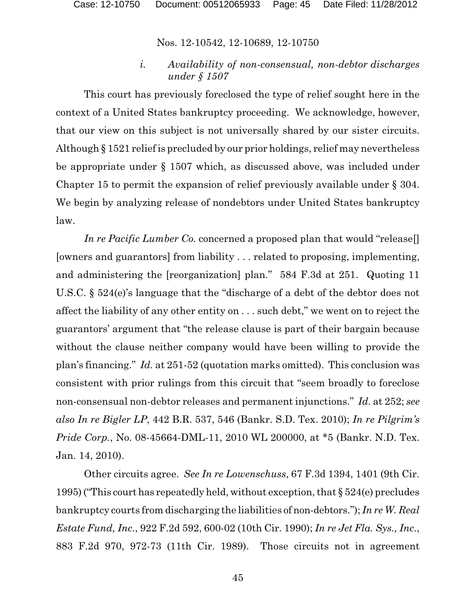## *i. Availability of non-consensual, non-debtor discharges under § 1507*

This court has previously foreclosed the type of relief sought here in the context of a United States bankruptcy proceeding. We acknowledge, however, that our view on this subject is not universally shared by our sister circuits. Although § 1521 relief is precluded by our prior holdings, relief may nevertheless be appropriate under § 1507 which, as discussed above, was included under Chapter 15 to permit the expansion of relief previously available under § 304. We begin by analyzing release of nondebtors under United States bankruptcy law.

*In re Pacific Lumber Co.* concerned a proposed plan that would "release. [owners and guarantors] from liability . . . related to proposing, implementing, and administering the [reorganization] plan." 584 F.3d at 251. Quoting 11 U.S.C. § 524(e)'s language that the "discharge of a debt of the debtor does not affect the liability of any other entity on . . . such debt," we went on to reject the guarantors' argument that "the release clause is part of their bargain because without the clause neither company would have been willing to provide the plan's financing." *Id.* at 251-52 (quotation marks omitted). This conclusion was consistent with prior rulings from this circuit that "seem broadly to foreclose non-consensual non-debtor releases and permanent injunctions." *Id.* at 252; *see also In re Bigler LP*, 442 B.R. 537, 546 (Bankr. S.D. Tex. 2010); *In re Pilgrim's Pride Corp.*, No. 08-45664-DML-11, 2010 WL 200000, at \*5 (Bankr. N.D. Tex. Jan. 14, 2010).

Other circuits agree. *See In re Lowenschuss*, 67 F.3d 1394, 1401 (9th Cir. 1995) ("This court has repeatedly held, without exception, that  $\S 524(e)$  precludes bankruptcy courts from discharging the liabilities of non-debtors."); *In re W. Real Estate Fund, Inc.*, 922 F.2d 592, 600-02 (10th Cir. 1990); *In re Jet Fla. Sys., Inc.*, 883 F.2d 970, 972-73 (11th Cir. 1989). Those circuits not in agreement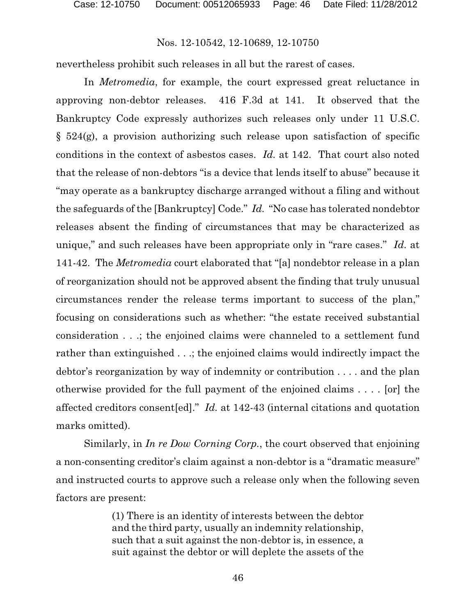nevertheless prohibit such releases in all but the rarest of cases.

In *Metromedia*, for example, the court expressed great reluctance in approving non-debtor releases. 416 F.3d at 141. It observed that the Bankruptcy Code expressly authorizes such releases only under 11 U.S.C. § 524(g), a provision authorizing such release upon satisfaction of specific conditions in the context of asbestos cases. *Id.* at 142. That court also noted that the release of non-debtors "is a device that lends itself to abuse" because it "may operate as a bankruptcy discharge arranged without a filing and without the safeguards of the [Bankruptcy] Code." *Id.* "No case has tolerated nondebtor releases absent the finding of circumstances that may be characterized as unique," and such releases have been appropriate only in "rare cases." *Id.* at 141-42. The *Metromedia* court elaborated that "[a] nondebtor release in a plan of reorganization should not be approved absent the finding that truly unusual circumstances render the release terms important to success of the plan," focusing on considerations such as whether: "the estate received substantial consideration . . .; the enjoined claims were channeled to a settlement fund rather than extinguished . . .; the enjoined claims would indirectly impact the debtor's reorganization by way of indemnity or contribution . . . . and the plan otherwise provided for the full payment of the enjoined claims . . . . [or] the affected creditors consent[ed]." *Id.* at 142-43 (internal citations and quotation marks omitted).

Similarly, in *In re Dow Corning Corp.*, the court observed that enjoining a non-consenting creditor's claim against a non-debtor is a "dramatic measure" and instructed courts to approve such a release only when the following seven factors are present:

> (1) There is an identity of interests between the debtor and the third party, usually an indemnity relationship, such that a suit against the non-debtor is, in essence, a suit against the debtor or will deplete the assets of the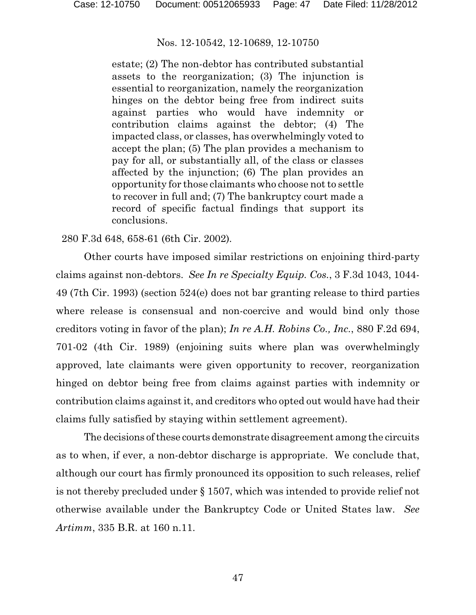estate; (2) The non-debtor has contributed substantial assets to the reorganization; (3) The injunction is essential to reorganization, namely the reorganization hinges on the debtor being free from indirect suits against parties who would have indemnity or contribution claims against the debtor; (4) The impacted class, or classes, has overwhelmingly voted to accept the plan; (5) The plan provides a mechanism to pay for all, or substantially all, of the class or classes affected by the injunction; (6) The plan provides an opportunity for those claimants who choose not to settle to recover in full and; (7) The bankruptcy court made a record of specific factual findings that support its conclusions.

280 F.3d 648, 658-61 (6th Cir. 2002)*.*

Other courts have imposed similar restrictions on enjoining third-party claims against non-debtors. *See In re Specialty Equip. Cos.*, 3 F.3d 1043, 1044- 49 (7th Cir. 1993) (section 524(e) does not bar granting release to third parties where release is consensual and non-coercive and would bind only those creditors voting in favor of the plan); *In re A.H. Robins Co., Inc.*, 880 F.2d 694, 701-02 (4th Cir. 1989) (enjoining suits where plan was overwhelmingly approved, late claimants were given opportunity to recover, reorganization hinged on debtor being free from claims against parties with indemnity or contribution claims against it, and creditors who opted out would have had their claims fully satisfied by staying within settlement agreement).

The decisions of these courts demonstrate disagreement among the circuits as to when, if ever, a non-debtor discharge is appropriate. We conclude that, although our court has firmly pronounced its opposition to such releases, relief is not thereby precluded under § 1507, which was intended to provide relief not otherwise available under the Bankruptcy Code or United States law. *See Artimm*, 335 B.R. at 160 n.11.

47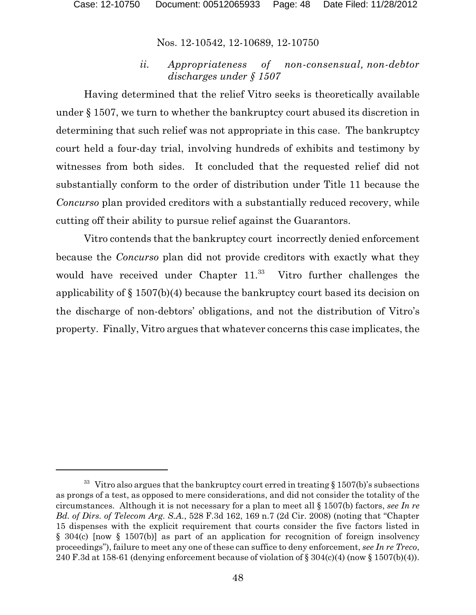## *ii. Appropriateness of non-consensual, non-debtor discharges under § 1507*

Having determined that the relief Vitro seeks is theoretically available under § 1507, we turn to whether the bankruptcy court abused its discretion in determining that such relief was not appropriate in this case. The bankruptcy court held a four-day trial, involving hundreds of exhibits and testimony by witnesses from both sides. It concluded that the requested relief did not substantially conform to the order of distribution under Title 11 because the *Concurso* plan provided creditors with a substantially reduced recovery, while cutting off their ability to pursue relief against the Guarantors.

Vitro contends that the bankruptcy court incorrectly denied enforcement because the *Concurso* plan did not provide creditors with exactly what they would have received under Chapter  $11^{33}$  Vitro further challenges the applicability of § 1507(b)(4) because the bankruptcy court based its decision on the discharge of non-debtors' obligations, and not the distribution of Vitro's property. Finally, Vitro argues that whatever concerns this case implicates, the

<sup>&</sup>lt;sup>33</sup> Vitro also argues that the bankruptcy court erred in treating  $\S 1507(b)$ 's subsections as prongs of a test, as opposed to mere considerations, and did not consider the totality of the circumstances. Although it is not necessary for a plan to meet all § 1507(b) factors, *see In re Bd. of Dirs. of Telecom Arg. S.A.*, 528 F.3d 162, 169 n.7 (2d Cir. 2008) (noting that "Chapter 15 dispenses with the explicit requirement that courts consider the five factors listed in § 304(c) [now § 1507(b)] as part of an application for recognition of foreign insolvency proceedings"), failure to meet any one of these can suffice to deny enforcement, *see In re Treco*, 240 F.3d at 158-61 (denying enforcement because of violation of § 304(c)(4) (now § 1507(b)(4)).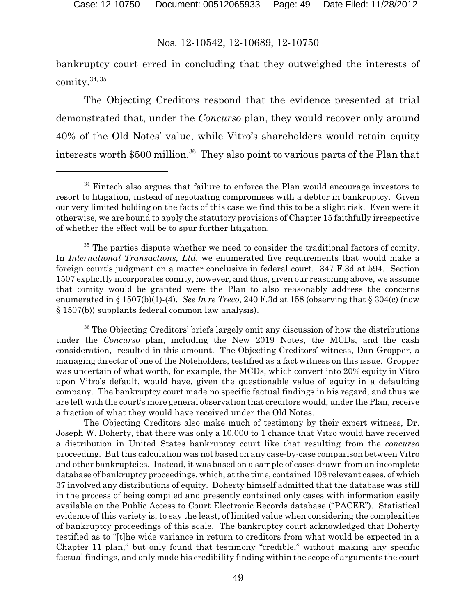bankruptcy court erred in concluding that they outweighed the interests of comity. $34, 35$ 

The Objecting Creditors respond that the evidence presented at trial demonstrated that, under the *Concurso* plan, they would recover only around 40% of the Old Notes' value, while Vitro's shareholders would retain equity interests worth  $$500$  million.<sup>36</sup> They also point to various parts of the Plan that

 $35$  The parties dispute whether we need to consider the traditional factors of comity. In *International Transactions, Ltd.* we enumerated five requirements that would make a foreign court's judgment on a matter conclusive in federal court. 347 F.3d at 594. Section 1507 explicitly incorporates comity, however, and thus, given our reasoning above, we assume that comity would be granted were the Plan to also reasonably address the concerns enumerated in § 1507(b)(1)-(4). *See In re Treco*, 240 F.3d at 158 (observing that § 304(c) (now § 1507(b)) supplants federal common law analysis).

<sup>36</sup> The Objecting Creditors' briefs largely omit any discussion of how the distributions under the *Concurso* plan, including the New 2019 Notes, the MCDs, and the cash consideration, resulted in this amount. The Objecting Creditors' witness, Dan Gropper, a managing director of one of the Noteholders, testified as a fact witness on this issue. Gropper was uncertain of what worth, for example, the MCDs, which convert into 20% equity in Vitro upon Vitro's default, would have, given the questionable value of equity in a defaulting company. The bankruptcy court made no specific factual findings in his regard, and thus we are left with the court's more general observation that creditors would, under the Plan, receive a fraction of what they would have received under the Old Notes.

The Objecting Creditors also make much of testimony by their expert witness, Dr. Joseph W. Doherty, that there was only a 10,000 to 1 chance that Vitro would have received a distribution in United States bankruptcy court like that resulting from the *concurso* proceeding. But this calculation was not based on any case-by-case comparison between Vitro and other bankruptcies. Instead, it was based on a sample of cases drawn from an incomplete database of bankruptcy proceedings, which, at the time, contained 108 relevant cases, of which 37 involved any distributions of equity. Doherty himself admitted that the database was still in the process of being compiled and presently contained only cases with information easily available on the Public Access to Court Electronic Records database ("PACER"). Statistical evidence of this variety is, to say the least, of limited value when considering the complexities of bankruptcy proceedings of this scale. The bankruptcy court acknowledged that Doherty testified as to "[t]he wide variance in return to creditors from what would be expected in a Chapter 11 plan," but only found that testimony "credible," without making any specific factual findings, and only made his credibility finding within the scope of arguments the court

 $34$  Fintech also argues that failure to enforce the Plan would encourage investors to resort to litigation, instead of negotiating compromises with a debtor in bankruptcy. Given our very limited holding on the facts of this case we find this to be a slight risk. Even were it otherwise, we are bound to apply the statutory provisions of Chapter 15 faithfully irrespective of whether the effect will be to spur further litigation.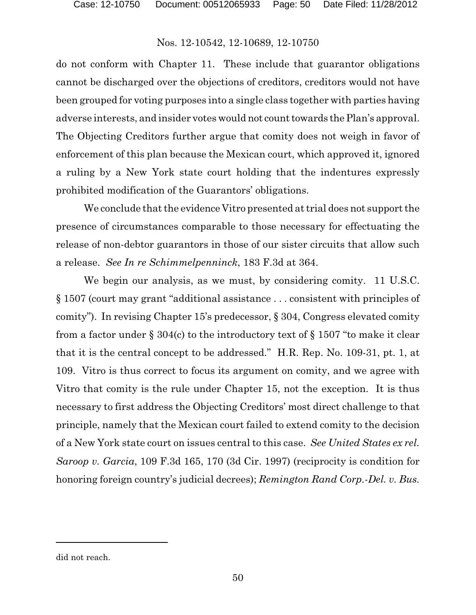do not conform with Chapter 11. These include that guarantor obligations cannot be discharged over the objections of creditors, creditors would not have been grouped for voting purposes into a single class together with parties having adverse interests, and insider votes would not count towards the Plan's approval. The Objecting Creditors further argue that comity does not weigh in favor of enforcement of this plan because the Mexican court, which approved it, ignored a ruling by a New York state court holding that the indentures expressly prohibited modification of the Guarantors' obligations.

We conclude that the evidence Vitro presented at trial does not support the presence of circumstances comparable to those necessary for effectuating the release of non-debtor guarantors in those of our sister circuits that allow such a release. *See In re Schimmelpenninck*, 183 F.3d at 364.

We begin our analysis, as we must, by considering comity. 11 U.S.C. § 1507 (court may grant "additional assistance . . . consistent with principles of comity"). In revising Chapter 15's predecessor, § 304, Congress elevated comity from a factor under § 304(c) to the introductory text of § 1507 "to make it clear that it is the central concept to be addressed." H.R. Rep. No. 109-31, pt. 1, at 109. Vitro is thus correct to focus its argument on comity, and we agree with Vitro that comity is the rule under Chapter 15, not the exception. It is thus necessary to first address the Objecting Creditors' most direct challenge to that principle, namely that the Mexican court failed to extend comity to the decision of a New York state court on issues central to this case. *See United States ex rel. Saroop v. Garcia*, 109 F.3d 165, 170 (3d Cir. 1997) (reciprocity is condition for honoring foreign country's judicial decrees); *Remington Rand Corp.-Del. v. Bus.*

did not reach.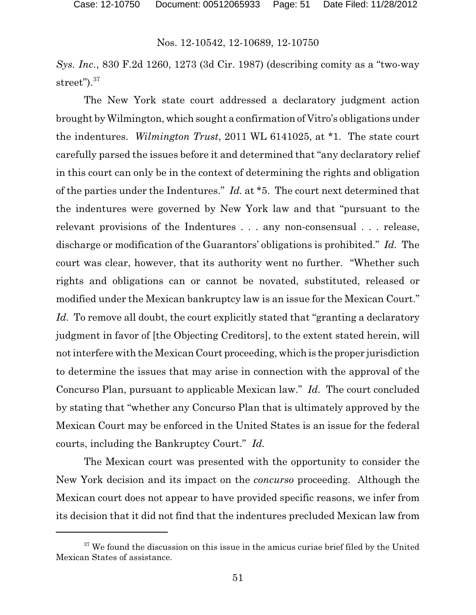*Sys. Inc.*, 830 F.2d 1260, 1273 (3d Cir. 1987) (describing comity as a "two-way street").<sup>37</sup>

The New York state court addressed a declaratory judgment action brought by Wilmington, which sought a confirmation of Vitro's obligations under the indentures. *Wilmington Trust*, 2011 WL 6141025, at \*1. The state court carefully parsed the issues before it and determined that "any declaratory relief in this court can only be in the context of determining the rights and obligation of the parties under the Indentures." *Id.* at \*5. The court next determined that the indentures were governed by New York law and that "pursuant to the relevant provisions of the Indentures . . . any non-consensual . . . release, discharge or modification of the Guarantors' obligations is prohibited." *Id.* The court was clear, however, that its authority went no further. "Whether such rights and obligations can or cannot be novated, substituted, released or modified under the Mexican bankruptcy law is an issue for the Mexican Court." *Id.* To remove all doubt, the court explicitly stated that "granting a declaratory judgment in favor of [the Objecting Creditors], to the extent stated herein, will not interfere with the Mexican Court proceeding, which is the proper jurisdiction to determine the issues that may arise in connection with the approval of the Concurso Plan, pursuant to applicable Mexican law." *Id.* The court concluded by stating that "whether any Concurso Plan that is ultimately approved by the Mexican Court may be enforced in the United States is an issue for the federal courts, including the Bankruptcy Court." *Id.*

The Mexican court was presented with the opportunity to consider the New York decision and its impact on the *concurso* proceeding. Although the Mexican court does not appear to have provided specific reasons, we infer from its decision that it did not find that the indentures precluded Mexican law from

 $37$  We found the discussion on this issue in the amicus curiae brief filed by the United Mexican States of assistance.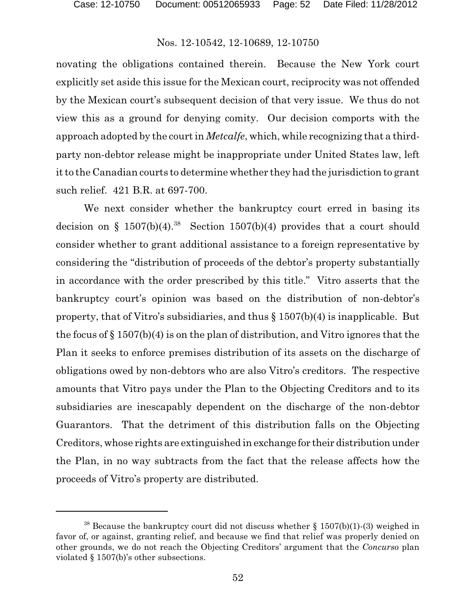novating the obligations contained therein. Because the New York court explicitly set aside this issue for the Mexican court, reciprocity was not offended by the Mexican court's subsequent decision of that very issue. We thus do not view this as a ground for denying comity. Our decision comports with the approach adopted by the court in *Metcalfe*, which, while recognizing that a thirdparty non-debtor release might be inappropriate under United States law, left it to the Canadian courts to determine whether they had the jurisdiction to grant such relief. 421 B.R. at 697-700.

We next consider whether the bankruptcy court erred in basing its decision on § 1507(b)(4).<sup>38</sup> Section 1507(b)(4) provides that a court should consider whether to grant additional assistance to a foreign representative by considering the "distribution of proceeds of the debtor's property substantially in accordance with the order prescribed by this title." Vitro asserts that the bankruptcy court's opinion was based on the distribution of non-debtor's property, that of Vitro's subsidiaries, and thus  $\S 1507(b)(4)$  is inapplicable. But the focus of § 1507(b)(4) is on the plan of distribution, and Vitro ignores that the Plan it seeks to enforce premises distribution of its assets on the discharge of obligations owed by non-debtors who are also Vitro's creditors. The respective amounts that Vitro pays under the Plan to the Objecting Creditors and to its subsidiaries are inescapably dependent on the discharge of the non-debtor Guarantors. That the detriment of this distribution falls on the Objecting Creditors, whose rights are extinguished in exchange for their distribution under the Plan, in no way subtracts from the fact that the release affects how the proceeds of Vitro's property are distributed.

<sup>&</sup>lt;sup>38</sup> Because the bankruptcy court did not discuss whether  $\S$  1507(b)(1)-(3) weighed in favor of, or against, granting relief, and because we find that relief was properly denied on other grounds, we do not reach the Objecting Creditors' argument that the *Concurso* plan violated § 1507(b)'s other subsections.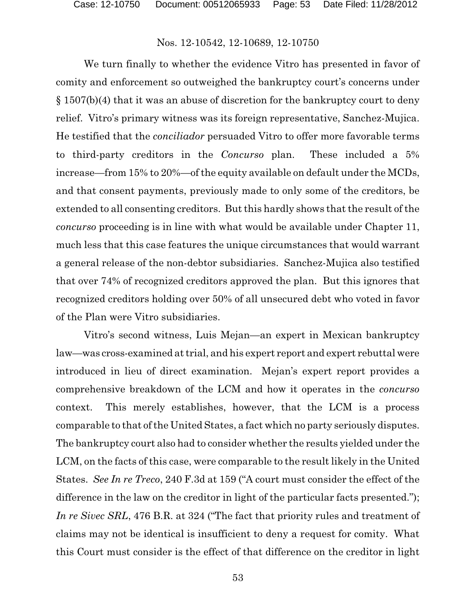We turn finally to whether the evidence Vitro has presented in favor of comity and enforcement so outweighed the bankruptcy court's concerns under § 1507(b)(4) that it was an abuse of discretion for the bankruptcy court to deny relief. Vitro's primary witness was its foreign representative, Sanchez-Mujica. He testified that the *conciliador* persuaded Vitro to offer more favorable terms to third-party creditors in the *Concurso* plan. These included a 5% increase—from 15% to 20%—of the equity available on default under the MCDs, and that consent payments, previously made to only some of the creditors, be extended to all consenting creditors. But this hardly shows that the result of the *concurso* proceeding is in line with what would be available under Chapter 11, much less that this case features the unique circumstances that would warrant a general release of the non-debtor subsidiaries. Sanchez-Mujica also testified that over 74% of recognized creditors approved the plan. But this ignores that recognized creditors holding over 50% of all unsecured debt who voted in favor of the Plan were Vitro subsidiaries.

Vitro's second witness, Luis Mejan—an expert in Mexican bankruptcy law—was cross-examined at trial, and his expert report and expert rebuttal were introduced in lieu of direct examination. Mejan's expert report provides a comprehensive breakdown of the LCM and how it operates in the *concurso* context. This merely establishes, however, that the LCM is a process comparable to that of the United States, a fact which no party seriously disputes. The bankruptcy court also had to consider whether the results yielded under the LCM, on the facts of this case, were comparable to the result likely in the United States. *See In re Treco*, 240 F.3d at 159 ("A court must consider the effect of the difference in the law on the creditor in light of the particular facts presented."); *In re Sivec SRL*, 476 B.R. at 324 ("The fact that priority rules and treatment of claims may not be identical is insufficient to deny a request for comity. What this Court must consider is the effect of that difference on the creditor in light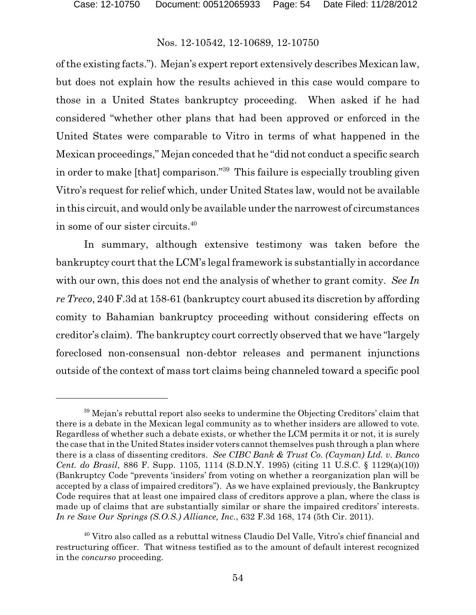of the existing facts."). Mejan's expert report extensively describes Mexican law, but does not explain how the results achieved in this case would compare to those in a United States bankruptcy proceeding. When asked if he had considered "whether other plans that had been approved or enforced in the United States were comparable to Vitro in terms of what happened in the Mexican proceedings," Mejan conceded that he "did not conduct a specific search in order to make  $[that]$  comparison."<sup>39</sup> This failure is especially troubling given Vitro's request for relief which, under United States law, would not be available in this circuit, and would only be available under the narrowest of circumstances in some of our sister circuits.<sup>40</sup>

In summary, although extensive testimony was taken before the bankruptcy court that the LCM's legal framework is substantially in accordance with our own, this does not end the analysis of whether to grant comity. *See In re Treco*, 240 F.3d at 158-61 (bankruptcy court abused its discretion by affording comity to Bahamian bankruptcy proceeding without considering effects on creditor's claim). The bankruptcy court correctly observed that we have "largely foreclosed non-consensual non-debtor releases and permanent injunctions outside of the context of mass tort claims being channeled toward a specific pool

<sup>&</sup>lt;sup>39</sup> Mejan's rebuttal report also seeks to undermine the Objecting Creditors' claim that there is a debate in the Mexican legal community as to whether insiders are allowed to vote. Regardless of whether such a debate exists, or whether the LCM permits it or not, it is surely the case thatin the United States insider voters cannot themselves push through a plan where there is a class of dissenting creditors. *See CIBC Bank & Trust Co. (Cayman) Ltd. v. Banco Cent. do Brasil*, 886 F. Supp. 1105, 1114 (S.D.N.Y. 1995) (citing 11 U.S.C. § 1129(a)(10)) (Bankruptcy Code "prevents 'insiders' from voting on whether a reorganization plan will be accepted by a class of impaired creditors"). As we have explained previously, the Bankruptcy Code requires that at least one impaired class of creditors approve a plan, where the class is made up of claims that are substantially similar or share the impaired creditors' interests. *In re Save Our Springs (S.O.S.) Alliance, Inc.*, 632 F.3d 168, 174 (5th Cir. 2011).

 $^{40}$  Vitro also called as a rebuttal witness Claudio Del Valle, Vitro's chief financial and restructuring officer. That witness testified as to the amount of default interest recognized in the *concurso* proceeding.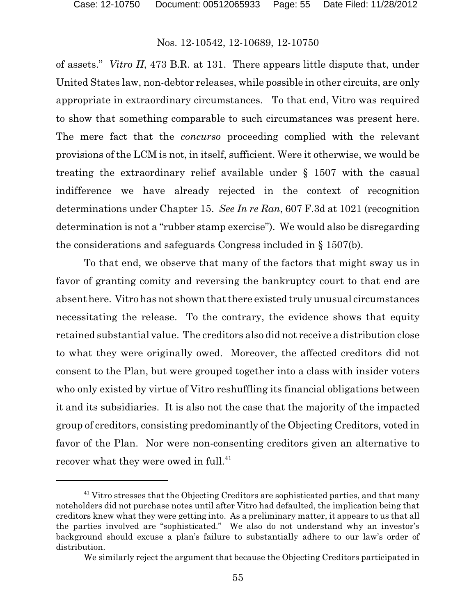of assets." *Vitro II*, 473 B.R. at 131. There appears little dispute that, under United States law, non-debtor releases, while possible in other circuits, are only appropriate in extraordinary circumstances. To that end, Vitro was required to show that something comparable to such circumstances was present here. The mere fact that the *concurso* proceeding complied with the relevant provisions of the LCM is not, in itself, sufficient. Were it otherwise, we would be treating the extraordinary relief available under § 1507 with the casual indifference we have already rejected in the context of recognition determinations under Chapter 15. *See In re Ran*, 607 F.3d at 1021 (recognition determination is not a "rubber stamp exercise"). We would also be disregarding the considerations and safeguards Congress included in § 1507(b).

To that end, we observe that many of the factors that might sway us in favor of granting comity and reversing the bankruptcy court to that end are absent here. Vitro has not shown that there existed truly unusual circumstances necessitating the release. To the contrary, the evidence shows that equity retained substantial value. The creditors also did not receive a distribution close to what they were originally owed. Moreover, the affected creditors did not consent to the Plan, but were grouped together into a class with insider voters who only existed by virtue of Vitro reshuffling its financial obligations between it and its subsidiaries. It is also not the case that the majority of the impacted group of creditors, consisting predominantly of the Objecting Creditors, voted in favor of the Plan. Nor were non-consenting creditors given an alternative to recover what they were owed in full.<sup>41</sup>

<sup>&</sup>lt;sup>41</sup> Vitro stresses that the Objecting Creditors are sophisticated parties, and that many noteholders did not purchase notes until after Vitro had defaulted, the implication being that creditors knew what they were getting into. As a preliminary matter, it appears to us that all the parties involved are "sophisticated." We also do not understand why an investor's background should excuse a plan's failure to substantially adhere to our law's order of distribution.

We similarly reject the argument that because the Objecting Creditors participated in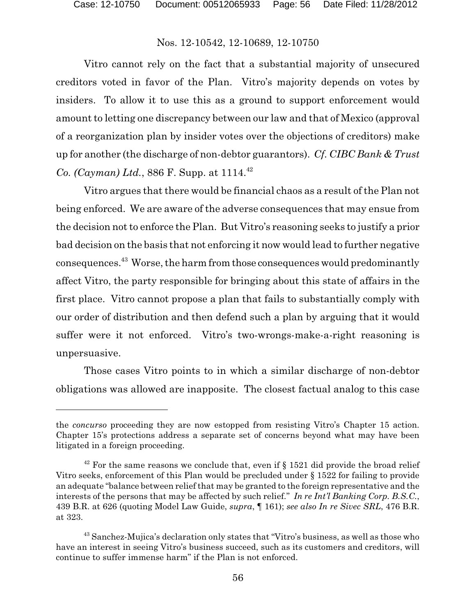Vitro cannot rely on the fact that a substantial majority of unsecured creditors voted in favor of the Plan. Vitro's majority depends on votes by insiders. To allow it to use this as a ground to support enforcement would amount to letting one discrepancy between our law and that of Mexico (approval of a reorganization plan by insider votes over the objections of creditors) make up for another (the discharge of non-debtor guarantors). *Cf. CIBC Bank & Trust Co. (Cayman) Ltd.*, 886 F. Supp. at 1114.<sup>42</sup>

Vitro argues that there would be financial chaos as a result of the Plan not being enforced. We are aware of the adverse consequences that may ensue from the decision not to enforce the Plan. But Vitro's reasoning seeks to justify a prior bad decision on the basis that not enforcing it now would lead to further negative consequences.<sup>43</sup> Worse, the harm from those consequences would predominantly affect Vitro, the party responsible for bringing about this state of affairs in the first place. Vitro cannot propose a plan that fails to substantially comply with our order of distribution and then defend such a plan by arguing that it would suffer were it not enforced. Vitro's two-wrongs-make-a-right reasoning is unpersuasive.

Those cases Vitro points to in which a similar discharge of non-debtor obligations was allowed are inapposite. The closest factual analog to this case

the *concurso* proceeding they are now estopped from resisting Vitro's Chapter 15 action. Chapter 15's protections address a separate set of concerns beyond what may have been litigated in a foreign proceeding.

 $42$  For the same reasons we conclude that, even if § 1521 did provide the broad relief Vitro seeks, enforcement of this Plan would be precluded under § 1522 for failing to provide an adequate "balance between relief that may be granted to the foreign representative and the interests of the persons that may be affected by such relief." *In re Int'l Banking Corp. B.S.C.*, 439 B.R. at 626 (quoting Model Law Guide, *supra*, ¶ 161); *see also In re Sivec SRL*, 476 B.R. at 323.

<sup>&</sup>lt;sup>43</sup> Sanchez-Mujica's declaration only states that "Vitro's business, as well as those who have an interest in seeing Vitro's business succeed, such as its customers and creditors, will continue to suffer immense harm" if the Plan is not enforced.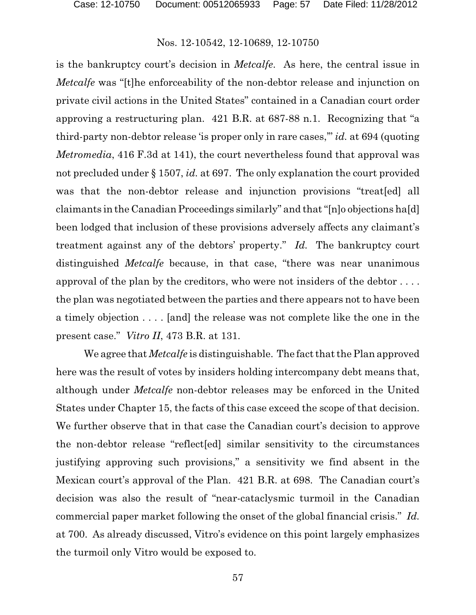is the bankruptcy court's decision in *Metcalfe*. As here, the central issue in *Metcalfe* was "[t]he enforceability of the non-debtor release and injunction on private civil actions in the United States" contained in a Canadian court order approving a restructuring plan. 421 B.R. at 687-88 n.1. Recognizing that "a third-party non-debtor release 'is proper only in rare cases,'" *id.* at 694 (quoting *Metromedia*, 416 F.3d at 141), the court nevertheless found that approval was not precluded under § 1507, *id.* at 697. The only explanation the court provided was that the non-debtor release and injunction provisions "treat[ed] all claimants in the Canadian Proceedings similarly" and that "[n]o objections ha[d] been lodged that inclusion of these provisions adversely affects any claimant's treatment against any of the debtors' property." *Id.* The bankruptcy court distinguished *Metcalfe* because, in that case, "there was near unanimous approval of the plan by the creditors, who were not insiders of the debtor . . . . the plan was negotiated between the parties and there appears not to have been a timely objection . . . . [and] the release was not complete like the one in the present case." *Vitro II*, 473 B.R. at 131.

We agree that*Metcalfe* is distinguishable. The fact that the Plan approved here was the result of votes by insiders holding intercompany debt means that, although under *Metcalfe* non-debtor releases may be enforced in the United States under Chapter 15, the facts of this case exceed the scope of that decision. We further observe that in that case the Canadian court's decision to approve the non-debtor release "reflect[ed] similar sensitivity to the circumstances justifying approving such provisions," a sensitivity we find absent in the Mexican court's approval of the Plan. 421 B.R. at 698. The Canadian court's decision was also the result of "near-cataclysmic turmoil in the Canadian commercial paper market following the onset of the global financial crisis." *Id.* at 700. As already discussed, Vitro's evidence on this point largely emphasizes the turmoil only Vitro would be exposed to.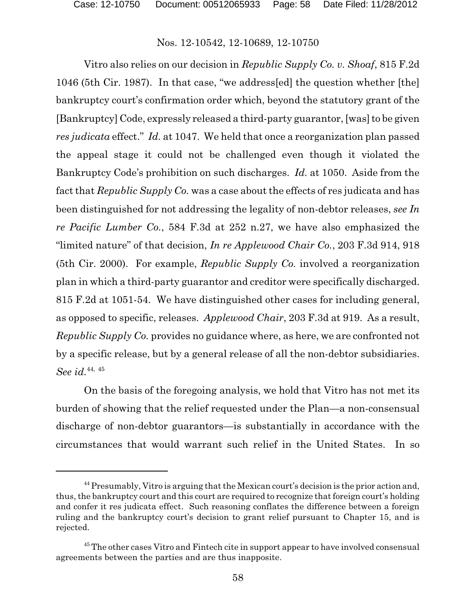Vitro also relies on our decision in *Republic Supply Co. v. Shoaf*, 815 F.2d 1046 (5th Cir. 1987). In that case, "we address[ed] the question whether [the] bankruptcy court's confirmation order which, beyond the statutory grant of the [Bankruptcy] Code, expressly released a third-party guarantor, [was]to be given *res judicata* effect." *Id.* at 1047. We held that once a reorganization plan passed the appeal stage it could not be challenged even though it violated the Bankruptcy Code's prohibition on such discharges. *Id.* at 1050. Aside from the fact that *Republic Supply Co.* was a case about the effects of res judicata and has been distinguished for not addressing the legality of non-debtor releases, *see In re Pacific Lumber Co.*, 584 F.3d at 252 n.27, we have also emphasized the "limited nature" of that decision, *In re Applewood Chair Co.*, 203 F.3d 914, 918 (5th Cir. 2000). For example, *Republic Supply Co.* involved a reorganization plan in which a third-party guarantor and creditor were specifically discharged. 815 F.2d at 1051-54. We have distinguished other cases for including general, as opposed to specific, releases. *Applewood Chair*, 203 F.3d at 919. As a result, *Republic Supply Co.* provides no guidance where, as here, we are confronted not by a specific release, but by a general release of all the non-debtor subsidiaries. *See id.*44, <sup>45</sup>

On the basis of the foregoing analysis, we hold that Vitro has not met its burden of showing that the relief requested under the Plan—a non-consensual discharge of non-debtor guarantors—is substantially in accordance with the circumstances that would warrant such relief in the United States. In so

 $44$  Presumably, Vitro is arguing that the Mexican court's decision is the prior action and, thus, the bankruptcy court and this court are required to recognize that foreign court's holding and confer it res judicata effect. Such reasoning conflates the difference between a foreign ruling and the bankruptcy court's decision to grant relief pursuant to Chapter 15, and is rejected.

<sup>&</sup>lt;sup>45</sup> The other cases Vitro and Fintech cite in support appear to have involved consensual agreements between the parties and are thus inapposite.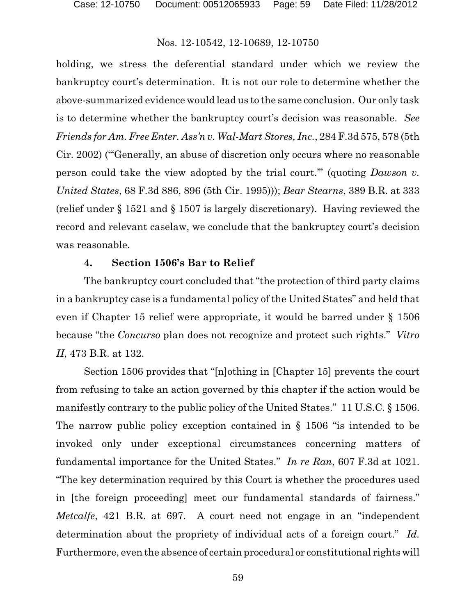holding, we stress the deferential standard under which we review the bankruptcy court's determination. It is not our role to determine whether the above-summarized evidence would lead us to the same conclusion. Our only task is to determine whether the bankruptcy court's decision was reasonable. *See Friends for Am. Free Enter. Ass'n v. Wal-Mart Stores, Inc.*, 284 F.3d 575, 578 (5th Cir. 2002) ("'Generally, an abuse of discretion only occurs where no reasonable person could take the view adopted by the trial court.'" (quoting *Dawson v. United States*, 68 F.3d 886, 896 (5th Cir. 1995))); *Bear Stearns*, 389 B.R. at 333 (relief under § 1521 and § 1507 is largely discretionary). Having reviewed the record and relevant caselaw, we conclude that the bankruptcy court's decision was reasonable.

### **4. Section 1506's Bar to Relief**

The bankruptcy court concluded that "the protection of third party claims in a bankruptcy case is a fundamental policy of the United States" and held that even if Chapter 15 relief were appropriate, it would be barred under § 1506 because "the *Concurso* plan does not recognize and protect such rights." *Vitro II*, 473 B.R. at 132.

Section 1506 provides that "[n]othing in [Chapter 15] prevents the court from refusing to take an action governed by this chapter if the action would be manifestly contrary to the public policy of the United States." 11 U.S.C. § 1506. The narrow public policy exception contained in § 1506 "is intended to be invoked only under exceptional circumstances concerning matters of fundamental importance for the United States." *In re Ran*, 607 F.3d at 1021. "The key determination required by this Court is whether the procedures used in [the foreign proceeding] meet our fundamental standards of fairness." *Metcalfe*, 421 B.R. at 697. A court need not engage in an "independent determination about the propriety of individual acts of a foreign court." *Id.* Furthermore, even the absence of certain procedural or constitutional rights will